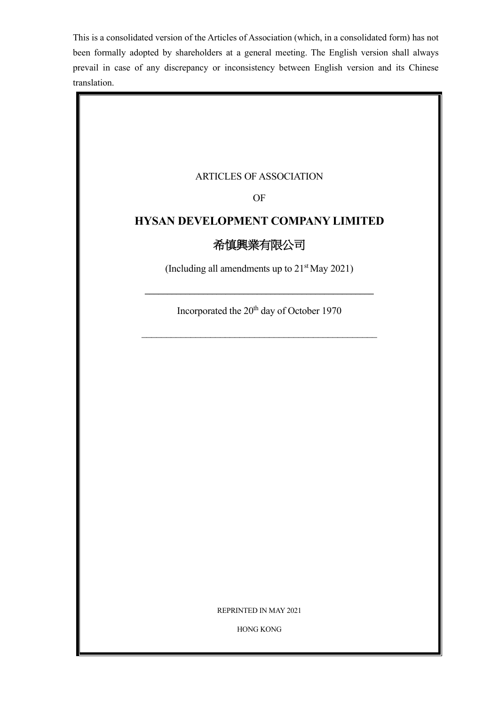This is a consolidated version of the Articles of Association (which, in a consolidated form) has not been formally adopted by shareholders at a general meeting. The English version shall always prevail in case of any discrepancy or inconsistency between English version and its Chinese translation.

## ARTICLES OF ASSOCIATION

OF

# **HYSAN DEVELOPMENT COMPANY LIMITED**

# 希慎興業有限公司

(Including all amendments up to  $21<sup>st</sup>$  May 2021)

**\_\_\_\_\_\_\_\_\_\_\_\_\_\_\_\_\_\_\_\_\_\_\_\_\_\_\_\_\_\_\_\_\_\_\_\_\_\_\_\_\_\_\_\_\_\_\_\_\_\_\_**

Incorporated the 20<sup>th</sup> day of October 1970

REPRINTED IN MAY 2021

HONG KONG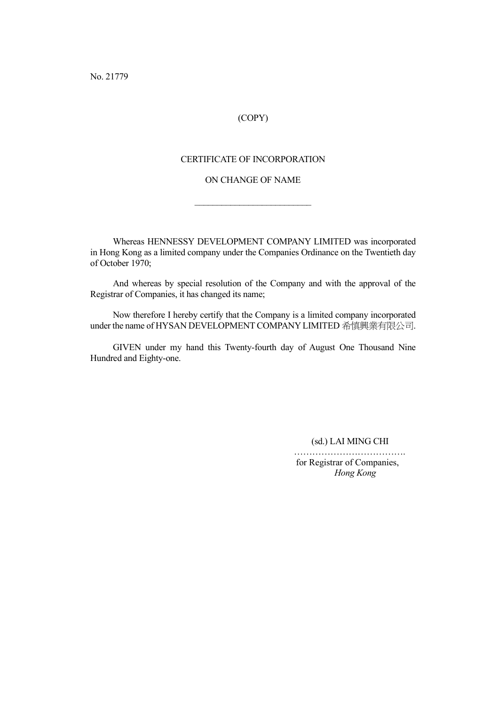No. 21779

## (COPY)

## CERTIFICATE OF INCORPORATION

## ON CHANGE OF NAME

 $\overline{\phantom{a}}$  , where  $\overline{\phantom{a}}$  , where  $\overline{\phantom{a}}$  , where  $\overline{\phantom{a}}$ 

Whereas HENNESSY DEVELOPMENT COMPANY LIMITED was incorporated in Hong Kong as a limited company under the Companies Ordinance on the Twentieth day of October 1970;

And whereas by special resolution of the Company and with the approval of the Registrar of Companies, it has changed its name;

Now therefore I hereby certify that the Company is a limited company incorporated under the name of HYSAN DEVELOPMENT COMPANY LIMITED 希慎興業有限公司.

GIVEN under my hand this Twenty-fourth day of August One Thousand Nine Hundred and Eighty-one.

(sd.) LAI MING CHI

………………………………. for Registrar of Companies, *Hong Kong*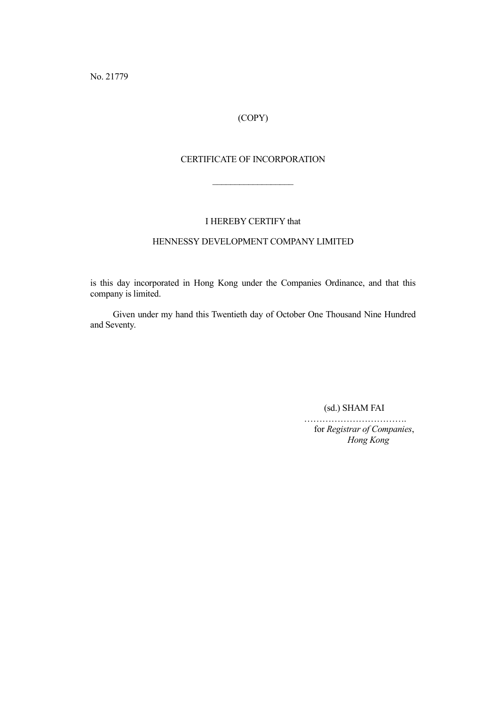No. 21779

# (COPY)

## CERTIFICATE OF INCORPORATION

 $\frac{1}{2}$ 

I HEREBY CERTIFY that

### HENNESSY DEVELOPMENT COMPANY LIMITED

is this day incorporated in Hong Kong under the Companies Ordinance, and that this company is limited.

Given under my hand this Twentieth day of October One Thousand Nine Hundred and Seventy.

(sd.) SHAM FAI

……………………………. for *Registrar of Companies*, *Hong Kong*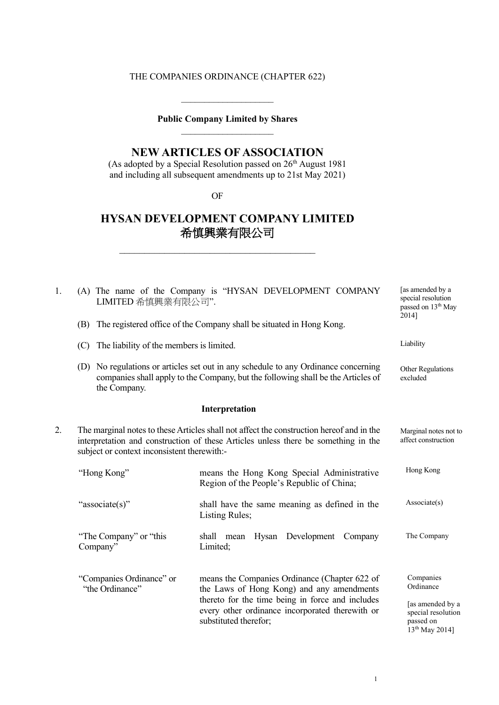# THE COMPANIES ORDINANCE (CHAPTER 622)

# **Public Company Limited by Shares**  $\overline{\phantom{a}}$  , where  $\overline{\phantom{a}}$

 $\overline{\phantom{a}}$  , where the contract of the contract of the contract of the contract of the contract of the contract of the contract of the contract of the contract of the contract of the contract of the contract of the contr

# **NEW ARTICLES OF ASSOCIATION**

(As adopted by a Special Resolution passed on  $26<sup>th</sup>$  August 1981 and including all subsequent amendments up to 21st May 2021)

OF

\_\_\_\_\_\_\_\_\_\_\_\_\_\_\_\_\_\_\_\_\_\_\_\_\_\_\_\_\_\_\_\_\_\_\_\_\_\_\_

# **HYSAN DEVELOPMENT COMPANY LIMITED** 希慎興業有限公司

| 1. | LIMITED 希慎興業有限公司".                                                                                                                                                                                                            | (A) The name of the Company is "HYSAN DEVELOPMENT COMPANY                                                                                                                                                                  | [as amended by a<br>special resolution<br>passed on 13 <sup>th</sup> May                                    |
|----|-------------------------------------------------------------------------------------------------------------------------------------------------------------------------------------------------------------------------------|----------------------------------------------------------------------------------------------------------------------------------------------------------------------------------------------------------------------------|-------------------------------------------------------------------------------------------------------------|
|    | (B)                                                                                                                                                                                                                           | The registered office of the Company shall be situated in Hong Kong.                                                                                                                                                       | 2014]                                                                                                       |
|    | The liability of the members is limited.<br>(C)                                                                                                                                                                               |                                                                                                                                                                                                                            | Liability                                                                                                   |
|    | the Company.                                                                                                                                                                                                                  | (D) No regulations or articles set out in any schedule to any Ordinance concerning<br>companies shall apply to the Company, but the following shall be the Articles of                                                     | Other Regulations<br>excluded                                                                               |
|    |                                                                                                                                                                                                                               | Interpretation                                                                                                                                                                                                             |                                                                                                             |
| 2. | The marginal notes to these Articles shall not affect the construction hereof and in the<br>interpretation and construction of these Articles unless there be something in the<br>subject or context inconsistent therewith:- |                                                                                                                                                                                                                            | Marginal notes not to<br>affect construction                                                                |
|    | "Hong Kong"                                                                                                                                                                                                                   | means the Hong Kong Special Administrative<br>Region of the People's Republic of China;                                                                                                                                    | Hong Kong                                                                                                   |
|    | "associate(s)"                                                                                                                                                                                                                | shall have the same meaning as defined in the<br>Listing Rules;                                                                                                                                                            | Associate(s)                                                                                                |
|    | "The Company" or "this<br>Company"                                                                                                                                                                                            | Development<br>shall mean<br>Hysan<br>Company<br>Limited;                                                                                                                                                                  | The Company                                                                                                 |
|    | "Companies Ordinance" or<br>"the Ordinance"                                                                                                                                                                                   | means the Companies Ordinance (Chapter 622 of<br>the Laws of Hong Kong) and any amendments<br>thereto for the time being in force and includes<br>every other ordinance incorporated therewith or<br>substituted therefor; | Companies<br>Ordinance<br>[as amended by a<br>special resolution<br>passed on<br>13 <sup>th</sup> May 2014] |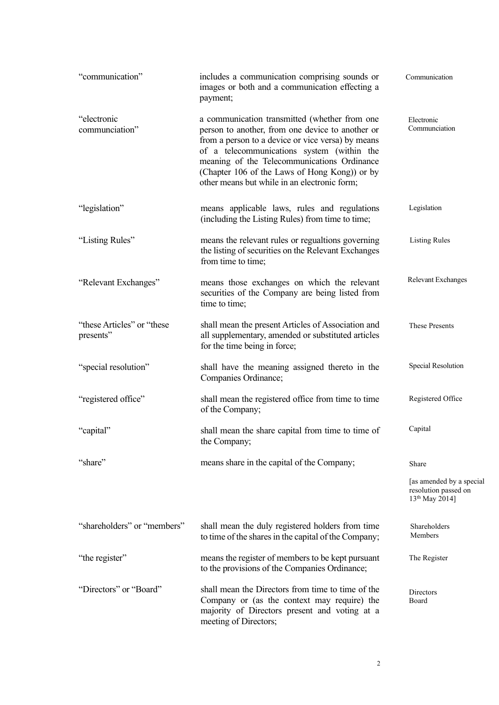| "communication"                         | includes a communication comprising sounds or<br>images or both and a communication effecting a<br>payment;                                                                                                                                                                                                                                          | Communication                                                                  |
|-----------------------------------------|------------------------------------------------------------------------------------------------------------------------------------------------------------------------------------------------------------------------------------------------------------------------------------------------------------------------------------------------------|--------------------------------------------------------------------------------|
| "electronic<br>communciation"           | a communication transmitted (whether from one<br>person to another, from one device to another or<br>from a person to a device or vice versa) by means<br>of a telecommunications system (within the<br>meaning of the Telecommunications Ordinance<br>(Chapter 106 of the Laws of Hong Kong)) or by<br>other means but while in an electronic form; | Electronic<br>Communciation                                                    |
| "legislation"                           | means applicable laws, rules and regulations<br>(including the Listing Rules) from time to time;                                                                                                                                                                                                                                                     | Legislation                                                                    |
| "Listing Rules"                         | means the relevant rules or regualtions governing<br>the listing of securities on the Relevant Exchanges<br>from time to time;                                                                                                                                                                                                                       | <b>Listing Rules</b>                                                           |
| "Relevant Exchanges"                    | means those exchanges on which the relevant<br>securities of the Company are being listed from<br>time to time;                                                                                                                                                                                                                                      | Relevant Exchanges                                                             |
| "these Articles" or "these<br>presents" | shall mean the present Articles of Association and<br>all supplementary, amended or substituted articles<br>for the time being in force;                                                                                                                                                                                                             | These Presents                                                                 |
| "special resolution"                    | shall have the meaning assigned thereto in the<br>Companies Ordinance;                                                                                                                                                                                                                                                                               | Special Resolution                                                             |
| "registered office"                     | shall mean the registered office from time to time<br>of the Company;                                                                                                                                                                                                                                                                                | Registered Office                                                              |
| "capital"                               | shall mean the share capital from time to time of<br>the Company;                                                                                                                                                                                                                                                                                    | Capital                                                                        |
| "share"                                 | means share in the capital of the Company;                                                                                                                                                                                                                                                                                                           | Share                                                                          |
|                                         |                                                                                                                                                                                                                                                                                                                                                      | [as amended by a special<br>resolution passed on<br>13 <sup>th</sup> May 2014] |
| "shareholders" or "members"             | shall mean the duly registered holders from time<br>to time of the shares in the capital of the Company;                                                                                                                                                                                                                                             | Shareholders<br>Members                                                        |
| "the register"                          | means the register of members to be kept pursuant<br>to the provisions of the Companies Ordinance;                                                                                                                                                                                                                                                   | The Register                                                                   |
| "Directors" or "Board"                  | shall mean the Directors from time to time of the<br>Company or (as the context may require) the<br>majority of Directors present and voting at a<br>meeting of Directors;                                                                                                                                                                           | Directors<br>Board                                                             |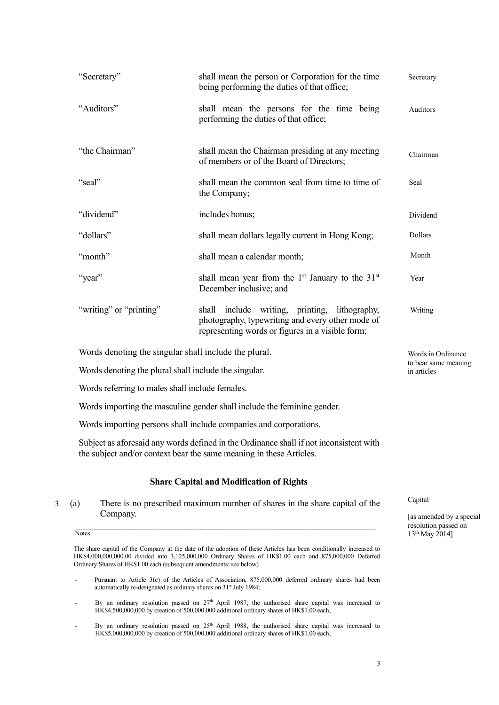|    | "Secretary"                                                                   | shall mean the person or Corporation for the time<br>being performing the duties of that office;                                                                                                                                | Secretary                                                    |
|----|-------------------------------------------------------------------------------|---------------------------------------------------------------------------------------------------------------------------------------------------------------------------------------------------------------------------------|--------------------------------------------------------------|
|    | "Auditors"                                                                    | shall mean the persons for the time being<br>performing the duties of that office;                                                                                                                                              | Auditors                                                     |
|    | "the Chairman"                                                                | shall mean the Chairman presiding at any meeting<br>of members or of the Board of Directors;                                                                                                                                    | Chairman                                                     |
|    | "seal"                                                                        | shall mean the common seal from time to time of<br>the Company;                                                                                                                                                                 | Seal                                                         |
|    | "dividend"                                                                    | includes bonus;                                                                                                                                                                                                                 | Dividend                                                     |
|    | "dollars"                                                                     | shall mean dollars legally current in Hong Kong;                                                                                                                                                                                | Dollars                                                      |
|    | "month"                                                                       | shall mean a calendar month;                                                                                                                                                                                                    | Month                                                        |
|    | "year"                                                                        | shall mean year from the 1 <sup>st</sup> January to the 31 <sup>st</sup><br>December inclusive; and                                                                                                                             | Year                                                         |
|    | "writing" or "printing"                                                       | shall include writing, printing, lithography,<br>photography, typewriting and every other mode of<br>representing words or figures in a visible form;                                                                           | Writing                                                      |
|    | Words denoting the singular shall include the plural.                         |                                                                                                                                                                                                                                 | Words in Ordinance                                           |
|    | Words denoting the plural shall include the singular.                         |                                                                                                                                                                                                                                 | to bear same meaning<br>in articles                          |
|    | Words referring to males shall include females.                               |                                                                                                                                                                                                                                 |                                                              |
|    |                                                                               | Words importing the masculine gender shall include the feminine gender.                                                                                                                                                         |                                                              |
|    |                                                                               | Words importing persons shall include companies and corporations.                                                                                                                                                               |                                                              |
|    |                                                                               | Subject as aforesaid any words defined in the Ordinance shall if not inconsistent with<br>the subject and/or context bear the same meaning in these Articles.                                                                   |                                                              |
|    |                                                                               | <b>Share Capital and Modification of Rights</b>                                                                                                                                                                                 |                                                              |
| 3. | (a)<br>Company.                                                               | There is no prescribed maximum number of shares in the share capital of the                                                                                                                                                     | Capital<br>[as amended by a special]<br>resolution passed on |
|    | Notes:<br>Ordinary Shares of HK\$1.00 each (subsequent amendments: see below) | The share capital of the Company at the date of the adoption of these Articles has been conditionally increased to<br>HK\$4,000,000,000.00 divided into 3,125,000,000 Ordinary Shares of HK\$1.00 each and 875,000,000 Deferred | 13 <sup>th</sup> May 2014]                                   |

- Pursuant to Article 3(c) of the Articles of Association, 875,000,000 deferred ordinary shares had been automatically re-designated as ordinary shares on 31<sup>st</sup> July 1984;
- By an ordinary resolution passed on  $27<sup>th</sup>$  April 1987, the authorised share capital was increased to HK\$4,500,000,000 by creation of 500,000,000 additional ordinary shares of HK\$1.00 each;
- By an ordinary resolution passed on 25<sup>th</sup> April 1988, the authorised share capital was increased to HK\$5,000,000,000 by creation of 500,000,000 additional ordinary shares of HK\$1.00 each;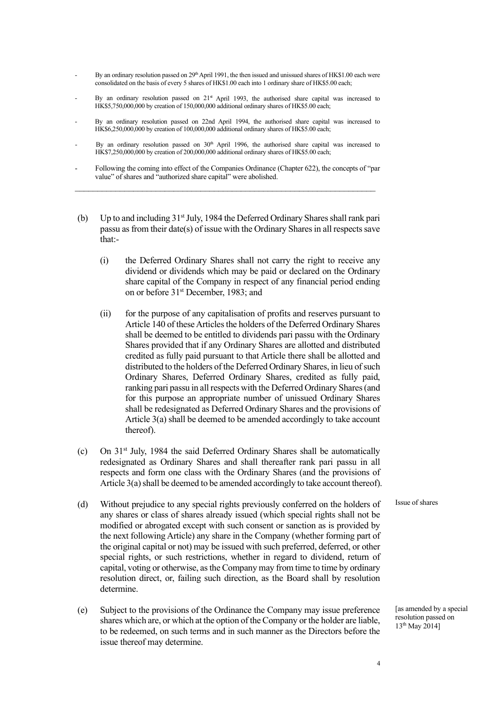- By an ordinary resolution passed on 29<sup>th</sup> April 1991, the then issued and unissued shares of HK\$1.00 each were consolidated on the basis of every 5 shares of HK\$1.00 each into 1 ordinary share of HK\$5.00 each;
- By an ordinary resolution passed on  $21<sup>st</sup>$  April 1993, the authorised share capital was increased to HK\$5,750,000,000 by creation of 150,000,000 additional ordinary shares of HK\$5.00 each;
- By an ordinary resolution passed on 22nd April 1994, the authorised share capital was increased to HK\$6,250,000,000 by creation of 100,000,000 additional ordinary shares of HK\$5.00 each;
- By an ordinary resolution passed on 30<sup>th</sup> April 1996, the authorised share capital was increased to HK\$7,250,000,000 by creation of 200,000,000 additional ordinary shares of HK\$5.00 each;
- Following the coming into effect of the Companies Ordinance (Chapter 622), the concepts of "par value" of shares and "authorized share capital" were abolished. \_\_\_\_\_\_\_\_\_\_\_\_\_\_\_\_\_\_\_\_\_\_\_\_\_\_\_\_\_\_\_\_\_\_\_\_\_\_\_\_\_\_\_\_\_\_\_\_\_\_\_\_\_\_\_\_\_\_\_\_\_\_\_\_\_\_\_
- (b) Up to and including  $31<sup>st</sup>$  July, 1984 the Deferred Ordinary Shares shall rank pari passu as from their date(s) of issue with the Ordinary Shares in all respects save that:-
	- (i) the Deferred Ordinary Shares shall not carry the right to receive any dividend or dividends which may be paid or declared on the Ordinary share capital of the Company in respect of any financial period ending on or before 31<sup>st</sup> December, 1983; and
	- (ii) for the purpose of any capitalisation of profits and reserves pursuant to Article 140 of these Articles the holders of the Deferred Ordinary Shares shall be deemed to be entitled to dividends pari passu with the Ordinary Shares provided that if any Ordinary Shares are allotted and distributed credited as fully paid pursuant to that Article there shall be allotted and distributed to the holders of the Deferred Ordinary Shares, in lieu of such Ordinary Shares, Deferred Ordinary Shares, credited as fully paid, ranking pari passu in all respects with the Deferred Ordinary Shares (and for this purpose an appropriate number of unissued Ordinary Shares shall be redesignated as Deferred Ordinary Shares and the provisions of Article 3(a) shall be deemed to be amended accordingly to take account thereof).
- (c) On  $31<sup>st</sup>$  July, 1984 the said Deferred Ordinary Shares shall be automatically redesignated as Ordinary Shares and shall thereafter rank pari passu in all respects and form one class with the Ordinary Shares (and the provisions of Article 3(a) shall be deemed to be amended accordingly to take account thereof).
- (d) Without prejudice to any special rights previously conferred on the holders of any shares or class of shares already issued (which special rights shall not be modified or abrogated except with such consent or sanction as is provided by the next following Article) any share in the Company (whether forming part of the original capital or not) may be issued with such preferred, deferred, or other special rights, or such restrictions, whether in regard to dividend, return of capital, voting or otherwise, as the Company may from time to time by ordinary resolution direct, or, failing such direction, as the Board shall by resolution determine.
- (e) Subject to the provisions of the Ordinance the Company may issue preference shares which are, or which at the option of the Company or the holder are liable, to be redeemed, on such terms and in such manner as the Directors before the issue thereof may determine.

Issue of shares

[as amended by a special resolution passed on 13th May 2014]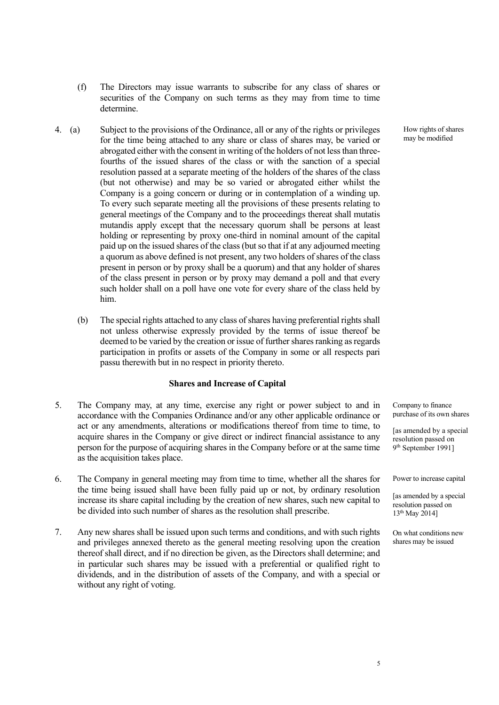- (f) The Directors may issue warrants to subscribe for any class of shares or securities of the Company on such terms as they may from time to time determine.
- 4. (a) Subject to the provisions of the Ordinance, all or any of the rights or privileges for the time being attached to any share or class of shares may, be varied or abrogated either with the consent in writing of the holders of not less than threefourths of the issued shares of the class or with the sanction of a special resolution passed at a separate meeting of the holders of the shares of the class (but not otherwise) and may be so varied or abrogated either whilst the Company is a going concern or during or in contemplation of a winding up. To every such separate meeting all the provisions of these presents relating to general meetings of the Company and to the proceedings thereat shall mutatis mutandis apply except that the necessary quorum shall be persons at least holding or representing by proxy one-third in nominal amount of the capital paid up on the issued shares of the class (but so that if at any adjourned meeting a quorum as above defined is not present, any two holders of shares of the class present in person or by proxy shall be a quorum) and that any holder of shares of the class present in person or by proxy may demand a poll and that every such holder shall on a poll have one vote for every share of the class held by him.
	- (b) The special rights attached to any class of shares having preferential rights shall not unless otherwise expressly provided by the terms of issue thereof be deemed to be varied by the creation or issue of further shares ranking as regards participation in profits or assets of the Company in some or all respects pari passu therewith but in no respect in priority thereto.

#### **Shares and Increase of Capital**

- 5. The Company may, at any time, exercise any right or power subject to and in accordance with the Companies Ordinance and/or any other applicable ordinance or act or any amendments, alterations or modifications thereof from time to time, to acquire shares in the Company or give direct or indirect financial assistance to any person for the purpose of acquiring shares in the Company before or at the same time as the acquisition takes place.
- 6. The Company in general meeting may from time to time, whether all the shares for the time being issued shall have been fully paid up or not, by ordinary resolution increase its share capital including by the creation of new shares, such new capital to be divided into such number of shares as the resolution shall prescribe.
- 7. Any new shares shall be issued upon such terms and conditions, and with such rights and privileges annexed thereto as the general meeting resolving upon the creation thereof shall direct, and if no direction be given, as the Directors shall determine; and in particular such shares may be issued with a preferential or qualified right to dividends, and in the distribution of assets of the Company, and with a special or without any right of voting.

How rights of shares may be modified

Company to finance purchase of its own shares

[as amended by a special resolution passed on 9th September 1991]

Power to increase capital

[as amended by a special resolution passed on 13th May 2014]

On what conditions new shares may be issued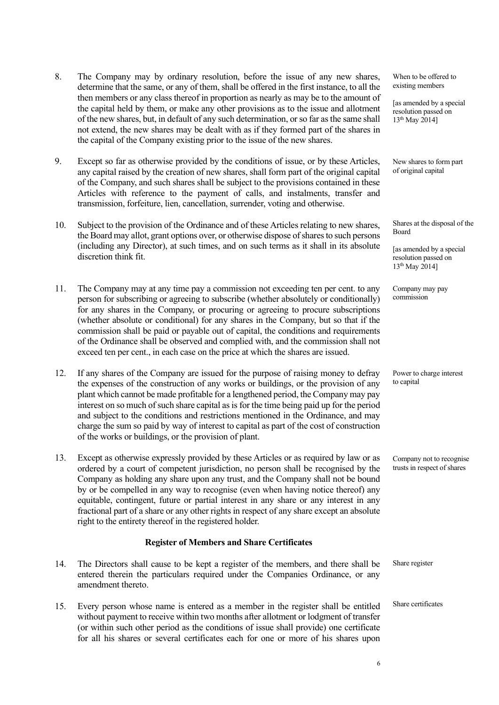- 8. The Company may by ordinary resolution, before the issue of any new shares, determine that the same, or any of them, shall be offered in the first instance, to all the then members or any class thereof in proportion as nearly as may be to the amount of the capital held by them, or make any other provisions as to the issue and allotment of the new shares, but, in default of any such determination, or so far as the same shall not extend, the new shares may be dealt with as if they formed part of the shares in the capital of the Company existing prior to the issue of the new shares.
- 9. Except so far as otherwise provided by the conditions of issue, or by these Articles, any capital raised by the creation of new shares, shall form part of the original capital of the Company, and such shares shall be subject to the provisions contained in these Articles with reference to the payment of calls, and instalments, transfer and transmission, forfeiture, lien, cancellation, surrender, voting and otherwise.
- 10. Subject to the provision of the Ordinance and of these Articles relating to new shares, the Board may allot, grant options over, or otherwise dispose of shares to such persons (including any Director), at such times, and on such terms as it shall in its absolute discretion think fit.
- 11. The Company may at any time pay a commission not exceeding ten per cent. to any person for subscribing or agreeing to subscribe (whether absolutely or conditionally) for any shares in the Company, or procuring or agreeing to procure subscriptions (whether absolute or conditional) for any shares in the Company, but so that if the commission shall be paid or payable out of capital, the conditions and requirements of the Ordinance shall be observed and complied with, and the commission shall not exceed ten per cent., in each case on the price at which the shares are issued.
- 12. If any shares of the Company are issued for the purpose of raising money to defray the expenses of the construction of any works or buildings, or the provision of any plant which cannot be made profitable for a lengthened period, the Company may pay interest on so much of such share capital as is for the time being paid up for the period and subject to the conditions and restrictions mentioned in the Ordinance, and may charge the sum so paid by way of interest to capital as part of the cost of construction of the works or buildings, or the provision of plant.
- 13. Except as otherwise expressly provided by these Articles or as required by law or as ordered by a court of competent jurisdiction, no person shall be recognised by the Company as holding any share upon any trust, and the Company shall not be bound by or be compelled in any way to recognise (even when having notice thereof) any equitable, contingent, future or partial interest in any share or any interest in any fractional part of a share or any other rights in respect of any share except an absolute right to the entirety thereof in the registered holder.

## **Register of Members and Share Certificates**

- 14. The Directors shall cause to be kept a register of the members, and there shall be entered therein the particulars required under the Companies Ordinance, or any amendment thereto.
- 15. Every person whose name is entered as a member in the register shall be entitled without payment to receive within two months after allotment or lodgment of transfer (or within such other period as the conditions of issue shall provide) one certificate for all his shares or several certificates each for one or more of his shares upon

When to be offered to existing members

[as amended by a special resolution passed on 13th May 2014]

New shares to form part of original capital

Shares at the disposal of the Board

[as amended by a special resolution passed on 13th May 2014]

Company may pay commission

Power to charge interest to capital

Company not to recognise trusts in respect of shares

Share register

Share certificates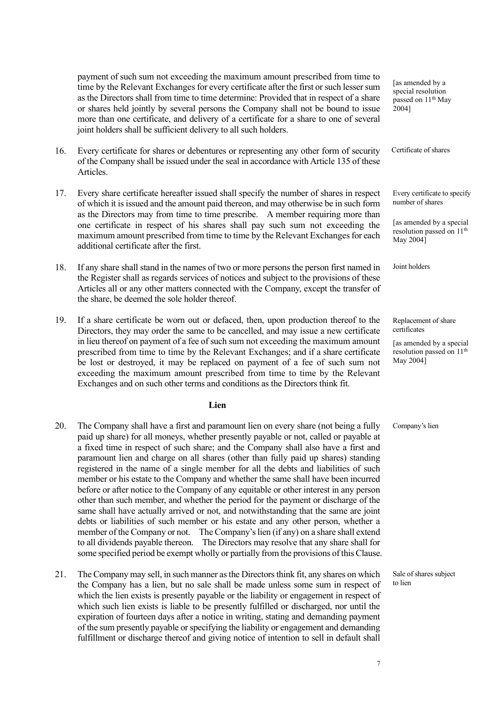payment of such sum not exceeding the maximum amount prescribed from time to time by the Relevant Exchanges for every certificate after the first or such lesser sum as the Directors shall from time to time determine: Provided that in respect of a share or shares held jointly by several persons the Company shall not be bound to issue more than one certificate, and delivery of a certificate for a share to one of several joint holders shall be sufficient delivery to all such holders.

- 16. Every certificate for shares or debentures or representing any other form of security of the Company shall be issued under the seal in accordance with Article 135 of these Articles.
- 17. Every share certificate hereafter issued shall specify the number of shares in respect of which it is issued and the amount paid thereon, and may otherwise be in such form as the Directors may from time to time prescribe. A member requiring more than one certificate in respect of his shares shall pay such sum not exceeding the maximum amount prescribed from time to time by the Relevant Exchanges for each additional certificate after the first.
- 18. If any share shall stand in the names of two or more persons the person first named in the Register shall as regards services of notices and subject to the provisions of these Articles all or any other matters connected with the Company, except the transfer of the share, be deemed the sole holder thereof.
- 19. If a share certificate be worn out or defaced, then, upon production thereof to the Directors, they may order the same to be cancelled, and may issue a new certificate in lieu thereof on payment of a fee of such sum not exceeding the maximum amount prescribed from time to time by the Relevant Exchanges; and if a share certificate be lost or destroyed, it may be replaced on payment of a fee of such sum not exceeding the maximum amount prescribed from time to time by the Relevant Exchanges and on such other terms and conditions as the Directors think fit.

#### **Lien**

- 20. The Company shall have a first and paramount lien on every share (not being a fully paid up share) for all moneys, whether presently payable or not, called or payable at a fixed time in respect of such share; and the Company shall also have a first and paramount lien and charge on all shares (other than fully paid up shares) standing registered in the name of a single member for all the debts and liabilities of such member or his estate to the Company and whether the same shall have been incurred before or after notice to the Company of any equitable or other interest in any person other than such member, and whether the period for the payment or discharge of the same shall have actually arrived or not, and notwithstanding that the same are joint debts or liabilities of such member or his estate and any other person, whether a member of the Company or not. The Company's lien (if any) on a share shall extend to all dividends payable thereon. The Directors may resolve that any share shall for some specified period be exempt wholly or partially from the provisions of this Clause.
- 21. The Company may sell, in such manner as the Directors think fit, any shares on which the Company has a lien, but no sale shall be made unless some sum in respect of which the lien exists is presently payable or the liability or engagement in respect of which such lien exists is liable to be presently fulfilled or discharged, nor until the expiration of fourteen days after a notice in writing, stating and demanding payment of the sum presently payable or specifying the liability or engagement and demanding fulfillment or discharge thereof and giving notice of intention to sell in default shall

[as amended by a special resolution passed on 11<sup>th</sup> May 2004]

Certificate of shares

Every certificate to specify number of shares

[as amended by a special resolution passed on 11th May 2004]

Joint holders

Replacement of share certificates

[as amended by a special resolution passed on 11th May 2004]

Company's lien

Sale of shares subject to lien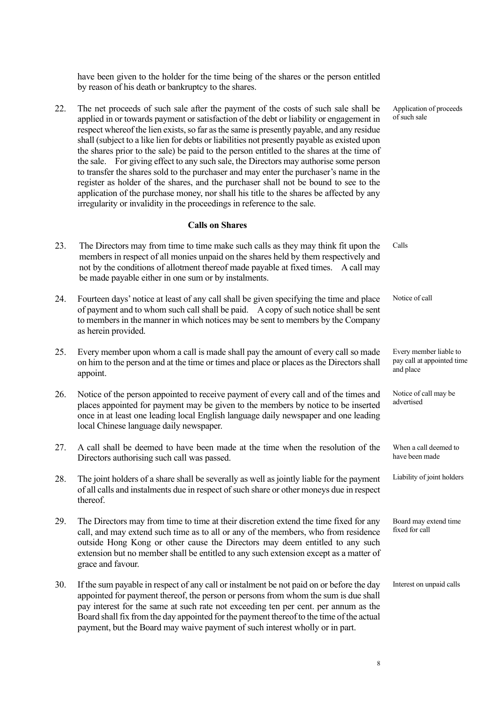have been given to the holder for the time being of the shares or the person entitled by reason of his death or bankruptcy to the shares.

22. The net proceeds of such sale after the payment of the costs of such sale shall be applied in or towards payment or satisfaction of the debt or liability or engagement in respect whereof the lien exists, so far as the same is presently payable, and any residue shall (subject to a like lien for debts or liabilities not presently payable as existed upon the shares prior to the sale) be paid to the person entitled to the shares at the time of the sale. For giving effect to any such sale, the Directors may authorise some person to transfer the shares sold to the purchaser and may enter the purchaser's name in the register as holder of the shares, and the purchaser shall not be bound to see to the application of the purchase money, nor shall his title to the shares be affected by any irregularity or invalidity in the proceedings in reference to the sale.

## **Calls on Shares**

- 23. The Directors may from time to time make such calls as they may think fit upon the members in respect of all monies unpaid on the shares held by them respectively and not by the conditions of allotment thereof made payable at fixed times. A call may be made payable either in one sum or by instalments. 24. Fourteen days' notice at least of any call shall be given specifying the time and place of payment and to whom such call shall be paid. A copy of such notice shall be sent to members in the manner in which notices may be sent to members by the Company as herein provided. 25. Every member upon whom a call is made shall pay the amount of every call so made on him to the person and at the time or times and place or places as the Directors shall appoint. Calls Notice of call Every member liable to pay call at appointed time and place
- 26. Notice of the person appointed to receive payment of every call and of the times and places appointed for payment may be given to the members by notice to be inserted once in at least one leading local English language daily newspaper and one leading local Chinese language daily newspaper.
- 27. A call shall be deemed to have been made at the time when the resolution of the Directors authorising such call was passed.
- 28. The joint holders of a share shall be severally as well as jointly liable for the payment of all calls and instalments due in respect of such share or other moneys due in respect thereof.
- 29. The Directors may from time to time at their discretion extend the time fixed for any call, and may extend such time as to all or any of the members, who from residence outside Hong Kong or other cause the Directors may deem entitled to any such extension but no member shall be entitled to any such extension except as a matter of grace and favour.
- 30. If the sum payable in respect of any call or instalment be not paid on or before the day appointed for payment thereof, the person or persons from whom the sum is due shall pay interest for the same at such rate not exceeding ten per cent. per annum as the Board shall fix from the day appointed for the payment thereof to the time of the actual payment, but the Board may waive payment of such interest wholly or in part. Interest on unpaid calls

Application of proceeds

Notice of call may be

When a call deemed to have been made

Liability of joint holders

Board may extend time

fixed for call

advertised

of such sale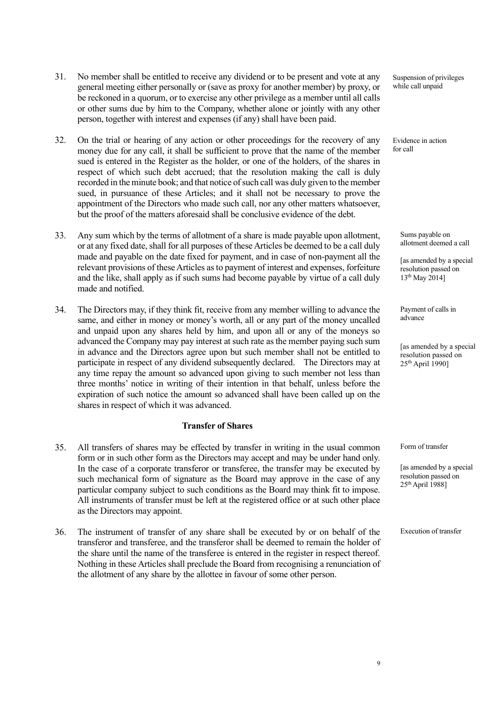- 31. No member shall be entitled to receive any dividend or to be present and vote at any general meeting either personally or (save as proxy for another member) by proxy, or be reckoned in a quorum, or to exercise any other privilege as a member until all calls or other sums due by him to the Company, whether alone or jointly with any other person, together with interest and expenses (if any) shall have been paid.
- 32. On the trial or hearing of any action or other proceedings for the recovery of any money due for any call, it shall be sufficient to prove that the name of the member sued is entered in the Register as the holder, or one of the holders, of the shares in respect of which such debt accrued; that the resolution making the call is duly recorded in the minute book; and that notice of such call was duly given to the member sued, in pursuance of these Articles; and it shall not be necessary to prove the appointment of the Directors who made such call, nor any other matters whatsoever, but the proof of the matters aforesaid shall be conclusive evidence of the debt.
- 33. Any sum which by the terms of allotment of a share is made payable upon allotment, or at any fixed date, shall for all purposes of these Articles be deemed to be a call duly made and payable on the date fixed for payment, and in case of non-payment all the relevant provisions of these Articles as to payment of interest and expenses, forfeiture and the like, shall apply as if such sums had become payable by virtue of a call duly made and notified.
- 34. The Directors may, if they think fit, receive from any member willing to advance the same, and either in money or money's worth, all or any part of the money uncalled and unpaid upon any shares held by him, and upon all or any of the moneys so advanced the Company may pay interest at such rate as the member paying such sum in advance and the Directors agree upon but such member shall not be entitled to participate in respect of any dividend subsequently declared. The Directors may at any time repay the amount so advanced upon giving to such member not less than three months' notice in writing of their intention in that behalf, unless before the expiration of such notice the amount so advanced shall have been called up on the shares in respect of which it was advanced.

## **Transfer of Shares**

- 35. All transfers of shares may be effected by transfer in writing in the usual common form or in such other form as the Directors may accept and may be under hand only. In the case of a corporate transferor or transferee, the transfer may be executed by such mechanical form of signature as the Board may approve in the case of any particular company subject to such conditions as the Board may think fit to impose. All instruments of transfer must be left at the registered office or at such other place as the Directors may appoint.
- 36. The instrument of transfer of any share shall be executed by or on behalf of the transferor and transferee, and the transferor shall be deemed to remain the holder of the share until the name of the transferee is entered in the register in respect thereof. Nothing in these Articles shall preclude the Board from recognising a renunciation of the allotment of any share by the allottee in favour of some other person.

Suspension of privileges while call unpaid

Evidence in action for call

> Sums payable on allotment deemed a call

[as amended by a special resolution passed on 13th May 2014]

Payment of calls in advance

[as amended by a special resolution passed on  $25<sup>th</sup>$  April 19901

Form of transfer

[as amended by a special resolution passed on  $25<sup>th</sup>$  April 1988]

Execution of transfer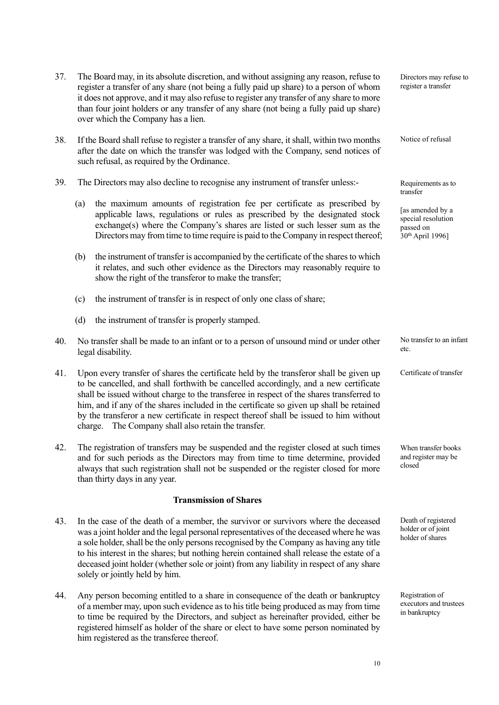|     |     | it does not approve, and it may also refuse to register any transfer of any share to more<br>than four joint holders or any transfer of any share (not being a fully paid up share)<br>over which the Company has a lien.                                                                                                                                                                                                                                                                                             |                                                                                     |
|-----|-----|-----------------------------------------------------------------------------------------------------------------------------------------------------------------------------------------------------------------------------------------------------------------------------------------------------------------------------------------------------------------------------------------------------------------------------------------------------------------------------------------------------------------------|-------------------------------------------------------------------------------------|
| 38. |     | If the Board shall refuse to register a transfer of any share, it shall, within two months<br>after the date on which the transfer was lodged with the Company, send notices of<br>such refusal, as required by the Ordinance.                                                                                                                                                                                                                                                                                        | Notice of refusal                                                                   |
| 39. |     | The Directors may also decline to recognise any instrument of transfer unless:-                                                                                                                                                                                                                                                                                                                                                                                                                                       | Requirements as to<br>transfer                                                      |
|     | (a) | the maximum amounts of registration fee per certificate as prescribed by<br>applicable laws, regulations or rules as prescribed by the designated stock<br>exchange(s) where the Company's shares are listed or such lesser sum as the<br>Directors may from time to time require is paid to the Company in respect thereof;                                                                                                                                                                                          | [as amended by a<br>special resolution<br>passed on<br>30 <sup>th</sup> April 1996] |
|     | (b) | the instrument of transfer is accompanied by the certificate of the shares to which<br>it relates, and such other evidence as the Directors may reasonably require to<br>show the right of the transferor to make the transfer;                                                                                                                                                                                                                                                                                       |                                                                                     |
|     | (c) | the instrument of transfer is in respect of only one class of share;                                                                                                                                                                                                                                                                                                                                                                                                                                                  |                                                                                     |
|     | (d) | the instrument of transfer is properly stamped.                                                                                                                                                                                                                                                                                                                                                                                                                                                                       |                                                                                     |
| 40. |     | No transfer shall be made to an infant or to a person of unsound mind or under other<br>legal disability.                                                                                                                                                                                                                                                                                                                                                                                                             | No transfer to an infant<br>etc.                                                    |
| 41. |     | Upon every transfer of shares the certificate held by the transferor shall be given up<br>to be cancelled, and shall forthwith be cancelled accordingly, and a new certificate<br>shall be issued without charge to the transferee in respect of the shares transferred to<br>him, and if any of the shares included in the certificate so given up shall be retained<br>by the transferor a new certificate in respect thereof shall be issued to him without<br>charge. The Company shall also retain the transfer. | Certificate of transfer                                                             |
| 42. |     | The registration of transfers may be suspended and the register closed at such times<br>and for such periods as the Directors may from time to time determine, provided<br>always that such registration shall not be suspended or the register closed for more<br>than thirty days in any year.                                                                                                                                                                                                                      | When transfer books<br>and register may be<br>closed                                |
|     |     | <b>Transmission of Shares</b>                                                                                                                                                                                                                                                                                                                                                                                                                                                                                         |                                                                                     |
| 43. |     | In the case of the death of a member, the survivor or survivors where the deceased<br>was a joint holder and the legal personal representatives of the deceased where he was<br>a sole holder, shall be the only persons recognised by the Company as having any title<br>to his interest in the shares; but nothing herein contained shall release the estate of a<br>deceased joint holder (whether sole or joint) from any liability in respect of any share<br>solely or jointly held by him.                     | Death of registered<br>holder or of joint<br>holder of shares                       |
| 44. |     | Any person becoming entitled to a share in consequence of the death or bankruptcy<br>of a member may upon such evidence as to his title being produced as may from time                                                                                                                                                                                                                                                                                                                                               | Registration of<br>executors and trustees                                           |

37. The Board may, in its absolute discretion, and without assigning any reason, refuse to register a transfer of any share (not being a fully paid up share) to a person of whom

of a member may, upon such evidence as to his title being produced as may from time to time be required by the Directors, and subject as hereinafter provided, either be registered himself as holder of the share or elect to have some person nominated by him registered as the transferee thereof.

10

in bankruptcy

Directors may refuse to register a transfer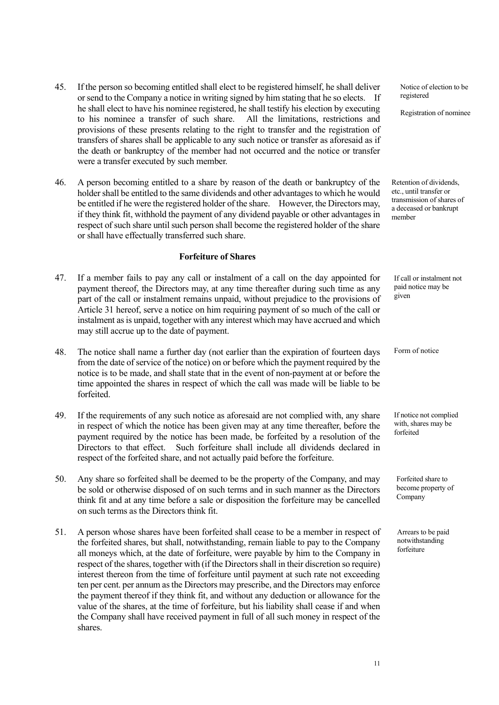- 45. If the person so becoming entitled shall elect to be registered himself, he shall deliver or send to the Company a notice in writing signed by him stating that he so elects. If he shall elect to have his nominee registered, he shall testify his election by executing to his nominee a transfer of such share. All the limitations, restrictions and provisions of these presents relating to the right to transfer and the registration of transfers of shares shall be applicable to any such notice or transfer as aforesaid as if the death or bankruptcy of the member had not occurred and the notice or transfer were a transfer executed by such member.
- 46. A person becoming entitled to a share by reason of the death or bankruptcy of the holder shall be entitled to the same dividends and other advantages to which he would be entitled if he were the registered holder of the share. However, the Directors may, if they think fit, withhold the payment of any dividend payable or other advantages in respect of such share until such person shall become the registered holder of the share or shall have effectually transferred such share.

### **Forfeiture of Shares**

- 47. If a member fails to pay any call or instalment of a call on the day appointed for payment thereof, the Directors may, at any time thereafter during such time as any part of the call or instalment remains unpaid, without prejudice to the provisions of Article 31 hereof, serve a notice on him requiring payment of so much of the call or instalment as is unpaid, together with any interest which may have accrued and which may still accrue up to the date of payment.
- 48. The notice shall name a further day (not earlier than the expiration of fourteen days from the date of service of the notice) on or before which the payment required by the notice is to be made, and shall state that in the event of non-payment at or before the time appointed the shares in respect of which the call was made will be liable to be forfeited.
- 49. If the requirements of any such notice as aforesaid are not complied with, any share in respect of which the notice has been given may at any time thereafter, before the payment required by the notice has been made, be forfeited by a resolution of the Directors to that effect. Such forfeiture shall include all dividends declared in respect of the forfeited share, and not actually paid before the forfeiture.
- 50. Any share so forfeited shall be deemed to be the property of the Company, and may be sold or otherwise disposed of on such terms and in such manner as the Directors think fit and at any time before a sale or disposition the forfeiture may be cancelled on such terms as the Directors think fit.
- 51. A person whose shares have been forfeited shall cease to be a member in respect of the forfeited shares, but shall, notwithstanding, remain liable to pay to the Company all moneys which, at the date of forfeiture, were payable by him to the Company in respect of the shares, together with (if the Directors shall in their discretion so require) interest thereon from the time of forfeiture until payment at such rate not exceeding ten per cent. per annum as the Directors may prescribe, and the Directors may enforce the payment thereof if they think fit, and without any deduction or allowance for the value of the shares, at the time of forfeiture, but his liability shall cease if and when the Company shall have received payment in full of all such money in respect of the shares.

Notice of election to be registered

Registration of nominee

Retention of dividends, etc., until transfer or transmission of shares of a deceased or bankrupt member

If call or instalment not paid notice may be given

Form of notice

If notice not complied with, shares may be forfeited

Forfeited share to become property of Company

Arrears to be paid notwithstanding forfeiture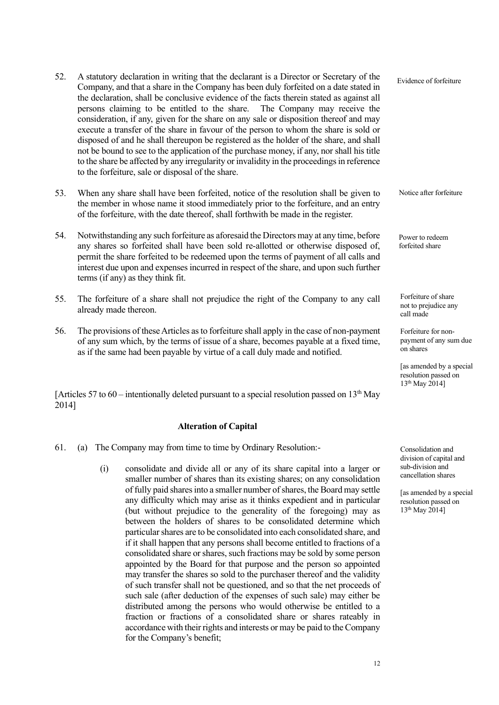- 52. A statutory declaration in writing that the declarant is a Director or Secretary of the Company, and that a share in the Company has been duly forfeited on a date stated in the declaration, shall be conclusive evidence of the facts therein stated as against all persons claiming to be entitled to the share. The Company may receive the consideration, if any, given for the share on any sale or disposition thereof and may execute a transfer of the share in favour of the person to whom the share is sold or disposed of and he shall thereupon be registered as the holder of the share, and shall not be bound to see to the application of the purchase money, if any, nor shall his title to the share be affected by any irregularity or invalidity in the proceedings in reference to the forfeiture, sale or disposal of the share. Evidence of forfeiture
- 53. When any share shall have been forfeited, notice of the resolution shall be given to the member in whose name it stood immediately prior to the forfeiture, and an entry of the forfeiture, with the date thereof, shall forthwith be made in the register.
- 54. Notwithstanding any such forfeiture as aforesaid the Directors may at any time, before any shares so forfeited shall have been sold re-allotted or otherwise disposed of, permit the share forfeited to be redeemed upon the terms of payment of all calls and interest due upon and expenses incurred in respect of the share, and upon such further terms (if any) as they think fit.
- 55. The forfeiture of a share shall not prejudice the right of the Company to any call already made thereon.
- 56. The provisions of these Articles as to forfeiture shall apply in the case of non-payment of any sum which, by the terms of issue of a share, becomes payable at a fixed time, as if the same had been payable by virtue of a call duly made and notified.

[Articles 57 to 60 – intentionally deleted pursuant to a special resolution passed on  $13<sup>th</sup>$  May 2014]

## **Alteration of Capital**

- 61. (a) The Company may from time to time by Ordinary Resolution:-
	- (i) consolidate and divide all or any of its share capital into a larger or smaller number of shares than its existing shares; on any consolidation of fully paid shares into a smaller number ofshares, the Board may settle any difficulty which may arise as it thinks expedient and in particular (but without prejudice to the generality of the foregoing) may as between the holders of shares to be consolidated determine which particular shares are to be consolidated into each consolidated share, and if it shall happen that any persons shall become entitled to fractions of a consolidated share or shares, such fractions may be sold by some person appointed by the Board for that purpose and the person so appointed may transfer the shares so sold to the purchaser thereof and the validity of such transfer shall not be questioned, and so that the net proceeds of such sale (after deduction of the expenses of such sale) may either be distributed among the persons who would otherwise be entitled to a fraction or fractions of a consolidated share or shares rateably in accordance with their rights and interests or may be paid to the Company for the Company's benefit;

Forfeiture of share not to prejudice any

call made

Notice after forfeiture

Power to redeem forfeited share

Forfeiture for nonpayment of any sum due on shares

[as amended by a special resolution passed on 13th May 2014]

Consolidation and division of capital and sub-division and cancellation shares

[as amended by a special resolution passed on 13th May 2014]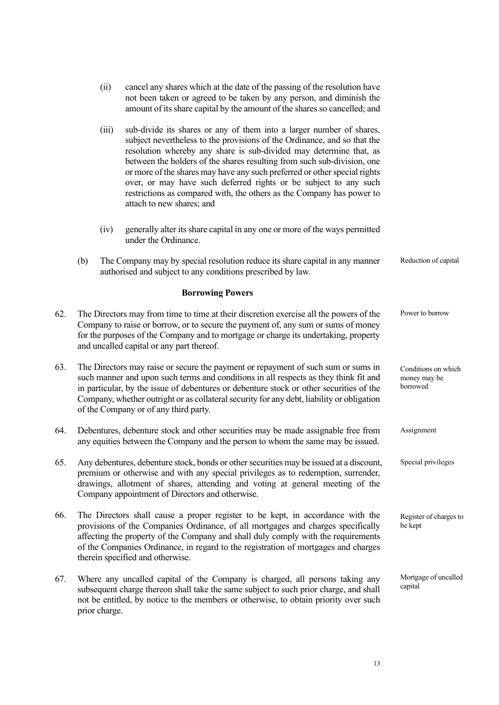- (ii) cancel any shares which at the date of the passing of the resolution have not been taken or agreed to be taken by any person, and diminish the amount of its share capital by the amount of the shares so cancelled; and
- (iii) sub-divide its shares or any of them into a larger number of shares, subject nevertheless to the provisions of the Ordinance, and so that the resolution whereby any share is sub-divided may determine that, as between the holders of the shares resulting from such sub-division, one or more of the shares may have any such preferred or other special rights over, or may have such deferred rights or be subject to any such restrictions as compared with, the others as the Company has power to attach to new shares; and
- (iv) generally alter its share capital in any one or more of the ways permitted under the Ordinance.
- (b) The Company may by special resolution reduce its share capital in any manner authorised and subject to any conditions prescribed by law. Reduction of capital

## **Borrowing Powers**

- 62. The Directors may from time to time at their discretion exercise all the powers of the Company to raise or borrow, or to secure the payment of, any sum or sums of money for the purposes of the Company and to mortgage or charge its undertaking, property and uncalled capital or any part thereof. 63. The Directors may raise or secure the payment or repayment of such sum or sums in such manner and upon such terms and conditions in all respects as they think fit and in particular, by the issue of debentures or debenture stock or other securities of the Company, whether outright or as collateral security for any debt, liability or obligation of the Company or of any third party. 64. Debentures, debenture stock and other securities may be made assignable free from any equities between the Company and the person to whom the same may be issued. 65. Any debentures, debenture stock, bonds or other securities may be issued at a discount, premium or otherwise and with any special privileges as to redemption, surrender, drawings, allotment of shares, attending and voting at general meeting of the Company appointment of Directors and otherwise. 66. The Directors shall cause a proper register to be kept, in accordance with the Power to borrow Conditions on which money may be borrowed Assignment Special privileges Register of charges to be kept
- provisions of the Companies Ordinance, of all mortgages and charges specifically affecting the property of the Company and shall duly comply with the requirements of the Companies Ordinance, in regard to the registration of mortgages and charges therein specified and otherwise.
- 67. Where any uncalled capital of the Company is charged, all persons taking any subsequent charge thereon shall take the same subject to such prior charge, and shall not be entitled, by notice to the members or otherwise, to obtain priority over such prior charge. Mortgage of uncalled capital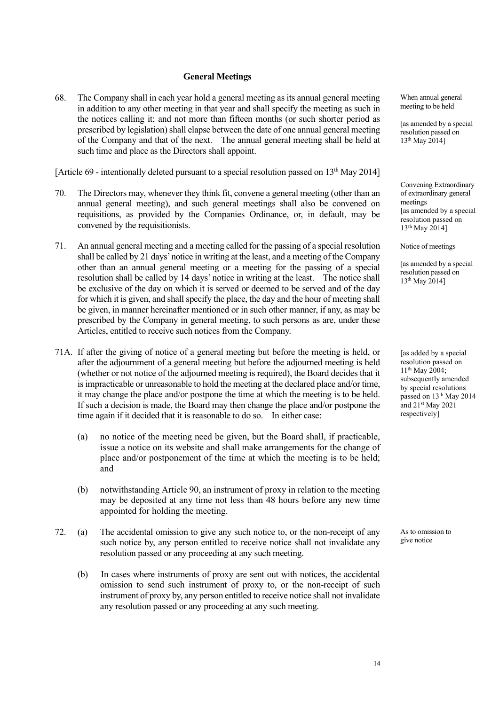#### **General Meetings**

68. The Company shall in each year hold a general meeting as its annual general meeting in addition to any other meeting in that year and shall specify the meeting as such in the notices calling it; and not more than fifteen months (or such shorter period as prescribed by legislation) shall elapse between the date of one annual general meeting of the Company and that of the next. The annual general meeting shall be held at such time and place as the Directors shall appoint.

[Article 69 - intentionally deleted pursuant to a special resolution passed on  $13<sup>th</sup>$  May 2014]

- 70. The Directors may, whenever they think fit, convene a general meeting (other than an annual general meeting), and such general meetings shall also be convened on requisitions, as provided by the Companies Ordinance, or, in default, may be convened by the requisitionists.
- 71. An annual general meeting and a meeting called for the passing of a special resolution shall be called by 21 days' notice in writing at the least, and a meeting of the Company other than an annual general meeting or a meeting for the passing of a special resolution shall be called by 14 days' notice in writing at the least. The notice shall be exclusive of the day on which it is served or deemed to be served and of the day for which it is given, and shall specify the place, the day and the hour of meeting shall be given, in manner hereinafter mentioned or in such other manner, if any, as may be prescribed by the Company in general meeting, to such persons as are, under these Articles, entitled to receive such notices from the Company.
- 71A. If after the giving of notice of a general meeting but before the meeting is held, or after the adjournment of a general meeting but before the adjourned meeting is held (whether or not notice of the adjourned meeting is required), the Board decides that it is impracticable or unreasonable to hold the meeting at the declared place and/or time, it may change the place and/or postpone the time at which the meeting is to be held. If such a decision is made, the Board may then change the place and/or postpone the time again if it decided that it is reasonable to do so. In either case:
	- (a) no notice of the meeting need be given, but the Board shall, if practicable, issue a notice on its website and shall make arrangements for the change of place and/or postponement of the time at which the meeting is to be held; and
	- (b) notwithstanding Article 90, an instrument of proxy in relation to the meeting may be deposited at any time not less than 48 hours before any new time appointed for holding the meeting.
- 72. (a) The accidental omission to give any such notice to, or the non-receipt of any such notice by, any person entitled to receive notice shall not invalidate any resolution passed or any proceeding at any such meeting.
	- (b) In cases where instruments of proxy are sent out with notices, the accidental omission to send such instrument of proxy to, or the non-receipt of such instrument of proxy by, any person entitled to receive notice shall not invalidate any resolution passed or any proceeding at any such meeting.

When annual general meeting to be held

[as amended by a special resolution passed on 13th May 2014]

Convening Extraordinary of extraordinary general meetings [as amended by a special resolution passed on 13th May 2014]

Notice of meetings

[as amended by a special resolution passed on 13th May 2014]

[as added by a special resolution passed on 11th May 2004; subsequently amended by special resolutions passed on 13<sup>th</sup> May 2014 and 21<sup>st</sup> May 2021 respectively]

As to omission to give notice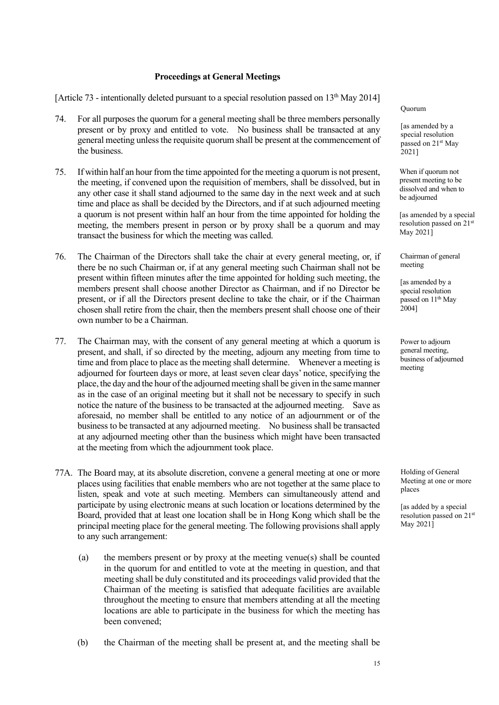### **Proceedings at General Meetings**

[Article 73 - intentionally deleted pursuant to a special resolution passed on  $13<sup>th</sup>$  May 2014]

- 74. For all purposes the quorum for a general meeting shall be three members personally present or by proxy and entitled to vote. No business shall be transacted at any general meeting unless the requisite quorum shall be present at the commencement of the business.
- 75. If within half an hour from the time appointed for the meeting a quorum is not present, the meeting, if convened upon the requisition of members, shall be dissolved, but in any other case it shall stand adjourned to the same day in the next week and at such time and place as shall be decided by the Directors, and if at such adjourned meeting a quorum is not present within half an hour from the time appointed for holding the meeting, the members present in person or by proxy shall be a quorum and may transact the business for which the meeting was called.
- 76. The Chairman of the Directors shall take the chair at every general meeting, or, if there be no such Chairman or, if at any general meeting such Chairman shall not be present within fifteen minutes after the time appointed for holding such meeting, the members present shall choose another Director as Chairman, and if no Director be present, or if all the Directors present decline to take the chair, or if the Chairman chosen shall retire from the chair, then the members present shall choose one of their own number to be a Chairman.
- 77. The Chairman may, with the consent of any general meeting at which a quorum is present, and shall, if so directed by the meeting, adjourn any meeting from time to time and from place to place as the meeting shall determine. Whenever a meeting is adjourned for fourteen days or more, at least seven clear days' notice, specifying the place, the day and the hour of the adjourned meeting shall be given in the same manner as in the case of an original meeting but it shall not be necessary to specify in such notice the nature of the business to be transacted at the adjourned meeting. Save as aforesaid, no member shall be entitled to any notice of an adjournment or of the business to be transacted at any adjourned meeting. No business shall be transacted at any adjourned meeting other than the business which might have been transacted at the meeting from which the adjournment took place.
- 77A. The Board may, at its absolute discretion, convene a general meeting at one or more places using facilities that enable members who are not together at the same place to listen, speak and vote at such meeting. Members can simultaneously attend and participate by using electronic means at such location or locations determined by the Board, provided that at least one location shall be in Hong Kong which shall be the principal meeting place for the general meeting. The following provisions shall apply to any such arrangement:
	- (a) the members present or by proxy at the meeting venue(s) shall be counted in the quorum for and entitled to vote at the meeting in question, and that meeting shall be duly constituted and its proceedings valid provided that the Chairman of the meeting is satisfied that adequate facilities are available throughout the meeting to ensure that members attending at all the meeting locations are able to participate in the business for which the meeting has been convened;
	- (b) the Chairman of the meeting shall be present at, and the meeting shall be

Quorum

[as amended by a special resolution passed on 21<sup>st</sup> May 2021]

When if quorum not present meeting to be dissolved and when to be adjourned

[as amended by a special resolution passed on 21st May 2021]

Chairman of general meeting

[as amended by a special resolution passed on 11<sup>th</sup> May 2004]

Power to adjourn general meeting, business of adjourned meeting

Holding of General Meeting at one or more places

[as added by a special resolution passed on 21st May 2021]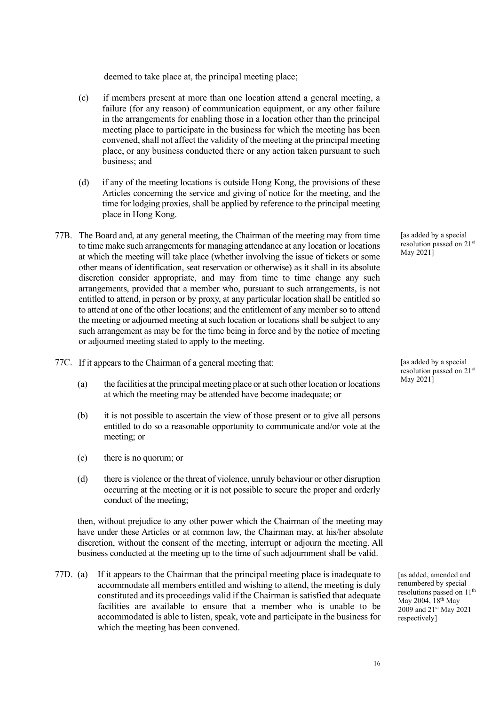deemed to take place at, the principal meeting place;

- (c) if members present at more than one location attend a general meeting, a failure (for any reason) of communication equipment, or any other failure in the arrangements for enabling those in a location other than the principal meeting place to participate in the business for which the meeting has been convened, shall not affect the validity of the meeting at the principal meeting place, or any business conducted there or any action taken pursuant to such business; and
- (d) if any of the meeting locations is outside Hong Kong, the provisions of these Articles concerning the service and giving of notice for the meeting, and the time for lodging proxies, shall be applied by reference to the principal meeting place in Hong Kong.
- 77B. The Board and, at any general meeting, the Chairman of the meeting may from time to time make such arrangements for managing attendance at any location or locations at which the meeting will take place (whether involving the issue of tickets or some other means of identification, seat reservation or otherwise) as it shall in its absolute discretion consider appropriate, and may from time to time change any such arrangements, provided that a member who, pursuant to such arrangements, is not entitled to attend, in person or by proxy, at any particular location shall be entitled so to attend at one of the other locations; and the entitlement of any member so to attend the meeting or adjourned meeting at such location or locations shall be subject to any such arrangement as may be for the time being in force and by the notice of meeting or adjourned meeting stated to apply to the meeting.
- 77C. If it appears to the Chairman of a general meeting that:
	- (a) the facilities at the principal meeting place or at such other location or locations at which the meeting may be attended have become inadequate; or
	- (b) it is not possible to ascertain the view of those present or to give all persons entitled to do so a reasonable opportunity to communicate and/or vote at the meeting; or
	- (c) there is no quorum; or
	- (d) there is violence or the threat of violence, unruly behaviour or other disruption occurring at the meeting or it is not possible to secure the proper and orderly conduct of the meeting;

then, without prejudice to any other power which the Chairman of the meeting may have under these Articles or at common law, the Chairman may, at his/her absolute discretion, without the consent of the meeting, interrupt or adjourn the meeting. All business conducted at the meeting up to the time of such adjournment shall be valid.

77D. (a) If it appears to the Chairman that the principal meeting place is inadequate to accommodate all members entitled and wishing to attend, the meeting is duly constituted and its proceedings valid if the Chairman is satisfied that adequate facilities are available to ensure that a member who is unable to be accommodated is able to listen, speak, vote and participate in the business for which the meeting has been convened.

[as added by a special] resolution passed on 21st May 2021]

[as added by a special resolution passed on 21st May 2021]

[as added, amended and renumbered by special resolutions passed on 11<sup>th</sup> May 2004, 18<sup>th</sup> May 2009 and 21<sup>st</sup> May 2021 respectively]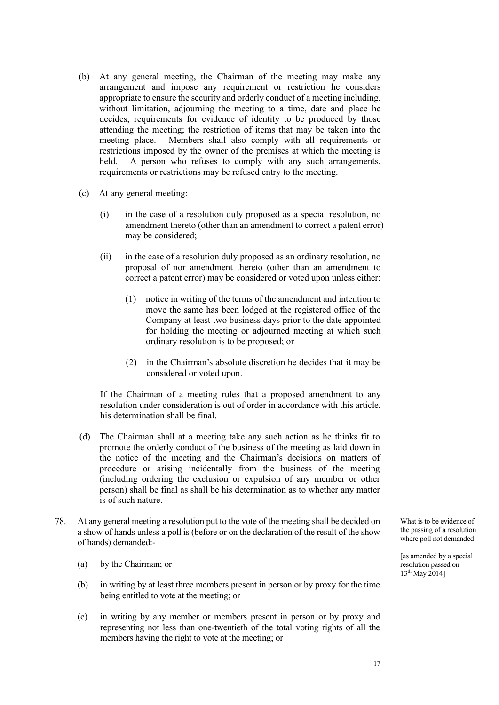- (b) At any general meeting, the Chairman of the meeting may make any arrangement and impose any requirement or restriction he considers appropriate to ensure the security and orderly conduct of a meeting including, without limitation, adjourning the meeting to a time, date and place he decides; requirements for evidence of identity to be produced by those attending the meeting; the restriction of items that may be taken into the meeting place. Members shall also comply with all requirements or restrictions imposed by the owner of the premises at which the meeting is held. A person who refuses to comply with any such arrangements, requirements or restrictions may be refused entry to the meeting.
- (c) At any general meeting:
	- (i) in the case of a resolution duly proposed as a special resolution, no amendment thereto (other than an amendment to correct a patent error) may be considered;
	- (ii) in the case of a resolution duly proposed as an ordinary resolution, no proposal of nor amendment thereto (other than an amendment to correct a patent error) may be considered or voted upon unless either:
		- (1) notice in writing of the terms of the amendment and intention to move the same has been lodged at the registered office of the Company at least two business days prior to the date appointed for holding the meeting or adjourned meeting at which such ordinary resolution is to be proposed; or
		- (2) in the Chairman's absolute discretion he decides that it may be considered or voted upon.

If the Chairman of a meeting rules that a proposed amendment to any resolution under consideration is out of order in accordance with this article, his determination shall be final.

- (d) The Chairman shall at a meeting take any such action as he thinks fit to promote the orderly conduct of the business of the meeting as laid down in the notice of the meeting and the Chairman's decisions on matters of procedure or arising incidentally from the business of the meeting (including ordering the exclusion or expulsion of any member or other person) shall be final as shall be his determination as to whether any matter is of such nature.
- 78. At any general meeting a resolution put to the vote of the meeting shall be decided on a show of hands unless a poll is (before or on the declaration of the result of the show of hands) demanded:-
	- (a) by the Chairman; or
	- (b) in writing by at least three members present in person or by proxy for the time being entitled to vote at the meeting; or
	- (c) in writing by any member or members present in person or by proxy and representing not less than one-twentieth of the total voting rights of all the members having the right to vote at the meeting; or

What is to be evidence of the passing of a resolution where poll not demanded

[as amended by a special resolution passed on 13th May 2014]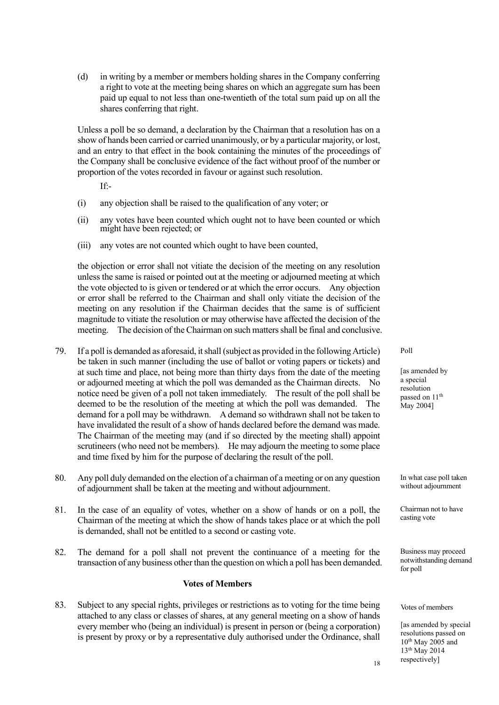(d) in writing by a member or members holding shares in the Company conferring a right to vote at the meeting being shares on which an aggregate sum has been paid up equal to not less than one-twentieth of the total sum paid up on all the shares conferring that right.

Unless a poll be so demand, a declaration by the Chairman that a resolution has on a show of hands been carried or carried unanimously, or by a particular majority, or lost, and an entry to that effect in the book containing the minutes of the proceedings of the Company shall be conclusive evidence of the fact without proof of the number or proportion of the votes recorded in favour or against such resolution.

If:-

- (i) any objection shall be raised to the qualification of any voter; or
- (ii) any votes have been counted which ought not to have been counted or which might have been rejected; or
- (iii) any votes are not counted which ought to have been counted,

the objection or error shall not vitiate the decision of the meeting on any resolution unless the same is raised or pointed out at the meeting or adjourned meeting at which the vote objected to is given or tendered or at which the error occurs. Any objection or error shall be referred to the Chairman and shall only vitiate the decision of the meeting on any resolution if the Chairman decides that the same is of sufficient magnitude to vitiate the resolution or may otherwise have affected the decision of the meeting. The decision of the Chairman on such matters shall be final and conclusive.

- 79. If a poll is demanded as aforesaid, it shall (subject as provided in the following Article) be taken in such manner (including the use of ballot or voting papers or tickets) and at such time and place, not being more than thirty days from the date of the meeting or adjourned meeting at which the poll was demanded as the Chairman directs. No notice need be given of a poll not taken immediately. The result of the poll shall be deemed to be the resolution of the meeting at which the poll was demanded. The demand for a poll may be withdrawn. A demand so withdrawn shall not be taken to have invalidated the result of a show of hands declared before the demand was made. The Chairman of the meeting may (and if so directed by the meeting shall) appoint scrutineers (who need not be members). He may adjourn the meeting to some place and time fixed by him for the purpose of declaring the result of the poll.
- 80. Any poll duly demanded on the election of a chairman of a meeting or on any question of adjournment shall be taken at the meeting and without adjournment.
- 81. In the case of an equality of votes, whether on a show of hands or on a poll, the Chairman of the meeting at which the show of hands takes place or at which the poll is demanded, shall not be entitled to a second or casting vote.
- 82. The demand for a poll shall not prevent the continuance of a meeting for the transaction of any business other than the question on which a poll has been demanded.

## **Votes of Members**

83. Subject to any special rights, privileges or restrictions as to voting for the time being attached to any class or classes of shares, at any general meeting on a show of hands every member who (being an individual) is present in person or (being a corporation) is present by proxy or by a representative duly authorised under the Ordinance, shall

Poll

[as amended by a special resolution passed on 11<sup>th</sup> May 2004]

In what case poll taken without adjournment

Chairman not to have casting vote

Business may proceed notwithstanding demand for poll

Votes of members

18

[as amended by special resolutions passed on 10th May 2005 and 13th May 2014 respectively]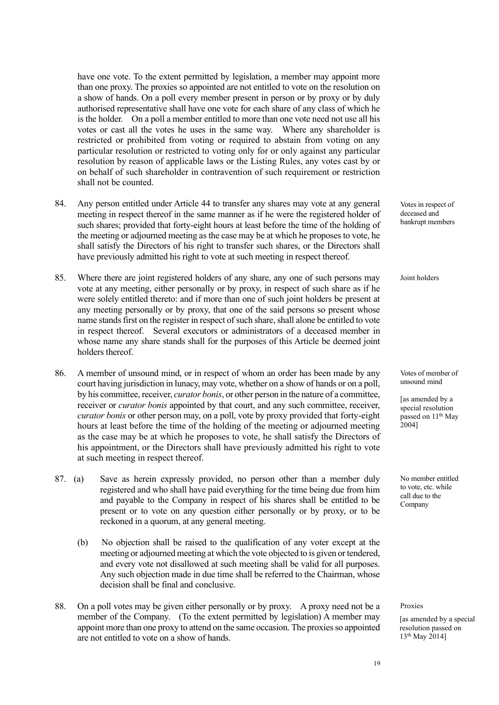have one vote. To the extent permitted by legislation, a member may appoint more than one proxy. The proxies so appointed are not entitled to vote on the resolution on a show of hands. On a poll every member present in person or by proxy or by duly authorised representative shall have one vote for each share of any class of which he is the holder. On a poll a member entitled to more than one vote need not use all his votes or cast all the votes he uses in the same way. Where any shareholder is restricted or prohibited from voting or required to abstain from voting on any particular resolution or restricted to voting only for or only against any particular resolution by reason of applicable laws or the Listing Rules, any votes cast by or on behalf of such shareholder in contravention of such requirement or restriction shall not be counted.

- 84. Any person entitled under Article 44 to transfer any shares may vote at any general meeting in respect thereof in the same manner as if he were the registered holder of such shares; provided that forty-eight hours at least before the time of the holding of the meeting or adjourned meeting as the case may be at which he proposes to vote, he shall satisfy the Directors of his right to transfer such shares, or the Directors shall have previously admitted his right to vote at such meeting in respect thereof.
- 85. Where there are joint registered holders of any share, any one of such persons may vote at any meeting, either personally or by proxy, in respect of such share as if he were solely entitled thereto: and if more than one of such joint holders be present at any meeting personally or by proxy, that one of the said persons so present whose name stands first on the register in respect of such share, shall alone be entitled to vote in respect thereof. Several executors or administrators of a deceased member in whose name any share stands shall for the purposes of this Article be deemed joint holders thereof.
- 86. A member of unsound mind, or in respect of whom an order has been made by any court having jurisdiction in lunacy, may vote, whether on a show of hands or on a poll, by his committee, receiver, *curator bonis*, or other person in the nature of a committee, receiver or *curator bonis* appointed by that court, and any such committee, receiver, *curator bonis* or other person may, on a poll, vote by proxy provided that forty-eight hours at least before the time of the holding of the meeting or adjourned meeting as the case may be at which he proposes to vote, he shall satisfy the Directors of his appointment, or the Directors shall have previously admitted his right to vote at such meeting in respect thereof.
- 87. (a) Save as herein expressly provided, no person other than a member duly registered and who shall have paid everything for the time being due from him and payable to the Company in respect of his shares shall be entitled to be present or to vote on any question either personally or by proxy, or to be reckoned in a quorum, at any general meeting.
	- (b) No objection shall be raised to the qualification of any voter except at the meeting or adjourned meeting at which the vote objected to is given or tendered, and every vote not disallowed at such meeting shall be valid for all purposes. Any such objection made in due time shall be referred to the Chairman, whose decision shall be final and conclusive.
- 88. On a poll votes may be given either personally or by proxy. A proxy need not be a member of the Company. (To the extent permitted by legislation) A member may appoint more than one proxy to attend on the same occasion. The proxies so appointed are not entitled to vote on a show of hands.

Votes in respect of deceased and bankrupt members

Joint holders

Votes of member of unsound mind

[as amended by a special resolution passed on 11<sup>th</sup> May 2004]

No member entitled to vote, etc. while call due to the Company

Proxies

[as amended by a special resolution passed on 13th May 2014]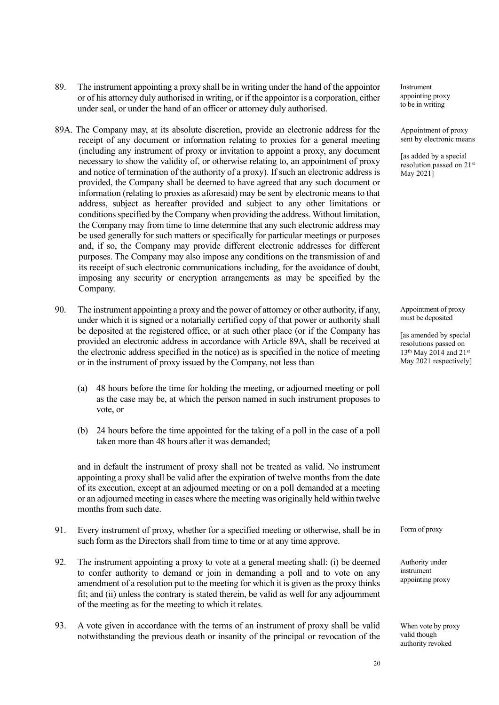- 89. The instrument appointing a proxy shall be in writing under the hand of the appointor or of his attorney duly authorised in writing, or if the appointor is a corporation, either under seal, or under the hand of an officer or attorney duly authorised.
- 89A. The Company may, at its absolute discretion, provide an electronic address for the receipt of any document or information relating to proxies for a general meeting (including any instrument of proxy or invitation to appoint a proxy, any document necessary to show the validity of, or otherwise relating to, an appointment of proxy and notice of termination of the authority of a proxy). If such an electronic address is provided, the Company shall be deemed to have agreed that any such document or information (relating to proxies as aforesaid) may be sent by electronic means to that address, subject as hereafter provided and subject to any other limitations or conditions specified by the Company when providing the address. Without limitation, the Company may from time to time determine that any such electronic address may be used generally for such matters or specifically for particular meetings or purposes and, if so, the Company may provide different electronic addresses for different purposes. The Company may also impose any conditions on the transmission of and its receipt of such electronic communications including, for the avoidance of doubt, imposing any security or encryption arrangements as may be specified by the Company.
- 90. The instrument appointing a proxy and the power of attorney or other authority, if any, under which it is signed or a notarially certified copy of that power or authority shall be deposited at the registered office, or at such other place (or if the Company has provided an electronic address in accordance with Article 89A, shall be received at the electronic address specified in the notice) as is specified in the notice of meeting or in the instrument of proxy issued by the Company, not less than
	- (a) 48 hours before the time for holding the meeting, or adjourned meeting or poll as the case may be, at which the person named in such instrument proposes to vote, or
	- (b) 24 hours before the time appointed for the taking of a poll in the case of a poll taken more than 48 hours after it was demanded;

and in default the instrument of proxy shall not be treated as valid. No instrument appointing a proxy shall be valid after the expiration of twelve months from the date of its execution, except at an adjourned meeting or on a poll demanded at a meeting or an adjourned meeting in cases where the meeting was originally held within twelve months from such date.

- 91. Every instrument of proxy, whether for a specified meeting or otherwise, shall be in such form as the Directors shall from time to time or at any time approve.
- 92. The instrument appointing a proxy to vote at a general meeting shall: (i) be deemed to confer authority to demand or join in demanding a poll and to vote on any amendment of a resolution put to the meeting for which it is given as the proxy thinks fit; and (ii) unless the contrary is stated therein, be valid as well for any adjournment of the meeting as for the meeting to which it relates.
- 93. A vote given in accordance with the terms of an instrument of proxy shall be valid notwithstanding the previous death or insanity of the principal or revocation of the

Instrument appointing proxy to be in writing

Appointment of proxy sent by electronic means

[as added by a special resolution passed on 21st May 2021]

Appointment of proxy must be deposited

[as amended by special resolutions passed on 13<sup>th</sup> May 2014 and 21<sup>st</sup> May 2021 respectively]

Form of proxy

Authority under instrument appointing proxy

When vote by proxy valid though authority revoked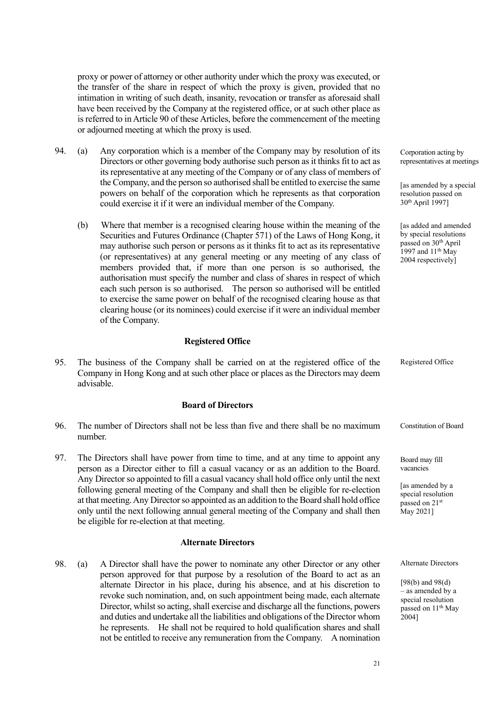proxy or power of attorney or other authority under which the proxy was executed, or the transfer of the share in respect of which the proxy is given, provided that no intimation in writing of such death, insanity, revocation or transfer as aforesaid shall have been received by the Company at the registered office, or at such other place as is referred to in Article 90 of these Articles, before the commencement of the meeting or adjourned meeting at which the proxy is used.

- 94. (a) Any corporation which is a member of the Company may by resolution of its Directors or other governing body authorise such person as it thinks fit to act as its representative at any meeting of the Company or of any class of members of the Company, and the person so authorised shall be entitled to exercise the same powers on behalf of the corporation which he represents as that corporation could exercise it if it were an individual member of the Company.
	- (b) Where that member is a recognised clearing house within the meaning of the Securities and Futures Ordinance (Chapter 571) of the Laws of Hong Kong, it may authorise such person or persons as it thinks fit to act as its representative (or representatives) at any general meeting or any meeting of any class of members provided that, if more than one person is so authorised, the authorisation must specify the number and class of shares in respect of which each such person is so authorised. The person so authorised will be entitled to exercise the same power on behalf of the recognised clearing house as that clearing house (or its nominees) could exercise if it were an individual member of the Company.

#### **Registered Office**

95. The business of the Company shall be carried on at the registered office of the Company in Hong Kong and at such other place or places as the Directors may deem advisable. Registered Office

## **Board of Directors**

- 96. The number of Directors shall not be less than five and there shall be no maximum number.
- 97. The Directors shall have power from time to time, and at any time to appoint any person as a Director either to fill a casual vacancy or as an addition to the Board. Any Director so appointed to fill a casual vacancy shall hold office only until the next following general meeting of the Company and shall then be eligible for re-election at that meeting. Any Director so appointed as an addition to the Board shall hold office only until the next following annual general meeting of the Company and shall then be eligible for re-election at that meeting.

#### **Alternate Directors**

98. (a) A Director shall have the power to nominate any other Director or any other person approved for that purpose by a resolution of the Board to act as an alternate Director in his place, during his absence, and at his discretion to revoke such nomination, and, on such appointment being made, each alternate Director, whilst so acting, shall exercise and discharge all the functions, powers and duties and undertake all the liabilities and obligations of the Director whom he represents. He shall not be required to hold qualification shares and shall not be entitled to receive any remuneration from the Company. A nomination

Corporation acting by representatives at meetings

[as amended by a special resolution passed on 30th April 1997]

[as added and amended by special resolutions passed on 30th April 1997 and  $11<sup>th</sup>$  May 2004 respectively]

Constitution of Board

Board may fill vacancies

[as amended by a special resolution passed on 21st May 2021]

Alternate Directors

[98(b) and 98(d) – as amended by a special resolution passed on 11<sup>th</sup> May 2004]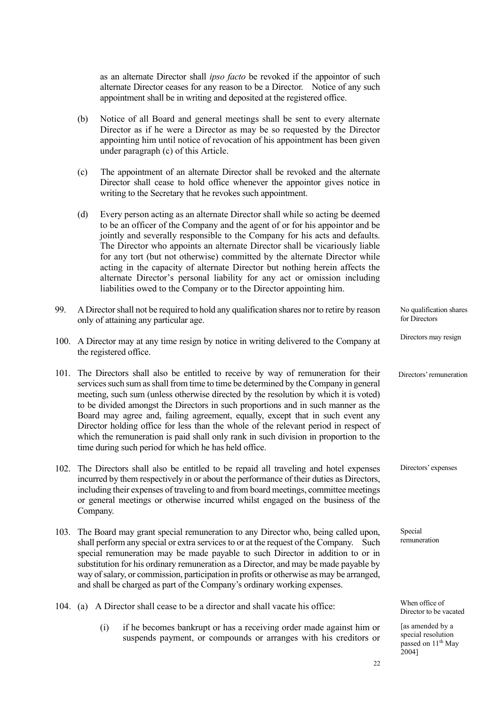as an alternate Director shall *ipso facto* be revoked if the appointor of such alternate Director ceases for any reason to be a Director. Notice of any such appointment shall be in writing and deposited at the registered office.

- (b) Notice of all Board and general meetings shall be sent to every alternate Director as if he were a Director as may be so requested by the Director appointing him until notice of revocation of his appointment has been given under paragraph (c) of this Article.
- (c) The appointment of an alternate Director shall be revoked and the alternate Director shall cease to hold office whenever the appointor gives notice in writing to the Secretary that he revokes such appointment.
- (d) Every person acting as an alternate Director shall while so acting be deemed to be an officer of the Company and the agent of or for his appointor and be jointly and severally responsible to the Company for his acts and defaults. The Director who appoints an alternate Director shall be vicariously liable for any tort (but not otherwise) committed by the alternate Director while acting in the capacity of alternate Director but nothing herein affects the alternate Director's personal liability for any act or omission including liabilities owed to the Company or to the Director appointing him.

| 99. | A Director shall not be required to hold any qualification shares nor to retire by reason<br>only of attaining any particular age.                                                                                                                                                                                                                                                                                                                                                                                                                                                                                                                                                    | No qualification shares<br>for Directors |
|-----|---------------------------------------------------------------------------------------------------------------------------------------------------------------------------------------------------------------------------------------------------------------------------------------------------------------------------------------------------------------------------------------------------------------------------------------------------------------------------------------------------------------------------------------------------------------------------------------------------------------------------------------------------------------------------------------|------------------------------------------|
|     | 100. A Director may at any time resign by notice in writing delivered to the Company at<br>the registered office.                                                                                                                                                                                                                                                                                                                                                                                                                                                                                                                                                                     | Directors may resign                     |
|     | 101. The Directors shall also be entitled to receive by way of remuneration for their<br>services such sum as shall from time to time be determined by the Company in general<br>meeting, such sum (unless otherwise directed by the resolution by which it is voted)<br>to be divided amongst the Directors in such proportions and in such manner as the<br>Board may agree and, failing agreement, equally, except that in such event any<br>Director holding office for less than the whole of the relevant period in respect of<br>which the remuneration is paid shall only rank in such division in proportion to the<br>time during such period for which he has held office. | Directors' remuneration                  |
|     | 102. The Directors shall also be entitled to be repaid all traveling and hotel expenses<br>incurred by them respectively in or about the performance of their duties as Directors,<br>including their expenses of traveling to and from board meetings, committee meetings<br>or general meetings or otherwise incurred whilst engaged on the business of the                                                                                                                                                                                                                                                                                                                         | Directors' expenses                      |

- 103. The Board may grant special remuneration to any Director who, being called upon, shall perform any special or extra services to or at the request of the Company. Such special remuneration may be made payable to such Director in addition to or in substitution for his ordinary remuneration as a Director, and may be made payable by way of salary, or commission, participation in profits or otherwise as may be arranged, and shall be charged as part of the Company's ordinary working expenses.
- 104. (a) A Director shall cease to be a director and shall vacate his office:

Company.

(i) if he becomes bankrupt or has a receiving order made against him or suspends payment, or compounds or arranges with his creditors or

When office of Director to be vacated

Special remuneration

[as amended by a special resolution passed on 11<sup>th</sup> May 2004]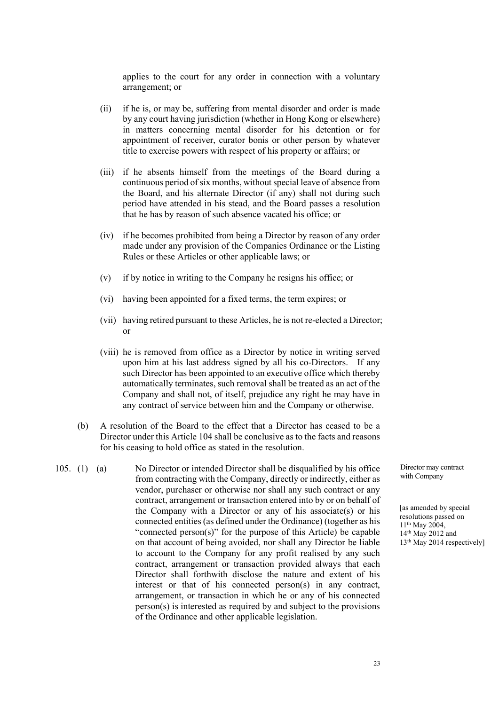applies to the court for any order in connection with a voluntary arrangement; or

- (ii) if he is, or may be, suffering from mental disorder and order is made by any court having jurisdiction (whether in Hong Kong or elsewhere) in matters concerning mental disorder for his detention or for appointment of receiver, curator bonis or other person by whatever title to exercise powers with respect of his property or affairs; or
- (iii) if he absents himself from the meetings of the Board during a continuous period of six months, without special leave of absence from the Board, and his alternate Director (if any) shall not during such period have attended in his stead, and the Board passes a resolution that he has by reason of such absence vacated his office; or
- (iv) if he becomes prohibited from being a Director by reason of any order made under any provision of the Companies Ordinance or the Listing Rules or these Articles or other applicable laws; or
- (v) if by notice in writing to the Company he resigns his office; or
- (vi) having been appointed for a fixed terms, the term expires; or
- (vii) having retired pursuant to these Articles, he is not re-elected a Director; or
- (viii) he is removed from office as a Director by notice in writing served upon him at his last address signed by all his co-Directors. If any such Director has been appointed to an executive office which thereby automatically terminates, such removal shall be treated as an act of the Company and shall not, of itself, prejudice any right he may have in any contract of service between him and the Company or otherwise.
- (b) A resolution of the Board to the effect that a Director has ceased to be a Director under this Article 104 shall be conclusive as to the facts and reasons for his ceasing to hold office as stated in the resolution.
- 105. (1) (a) No Director or intended Director shall be disqualified by his office from contracting with the Company, directly or indirectly, either as vendor, purchaser or otherwise nor shall any such contract or any contract, arrangement or transaction entered into by or on behalf of the Company with a Director or any of his associate(s) or his connected entities (as defined under the Ordinance) (together as his "connected person(s)" for the purpose of this Article) be capable on that account of being avoided, nor shall any Director be liable to account to the Company for any profit realised by any such contract, arrangement or transaction provided always that each Director shall forthwith disclose the nature and extent of his interest or that of his connected person(s) in any contract, arrangement, or transaction in which he or any of his connected person(s) is interested as required by and subject to the provisions of the Ordinance and other applicable legislation.

Director may contract with Company

[as amended by special resolutions passed on 11th May 2004, 14th May 2012 and 13th May 2014 respectively]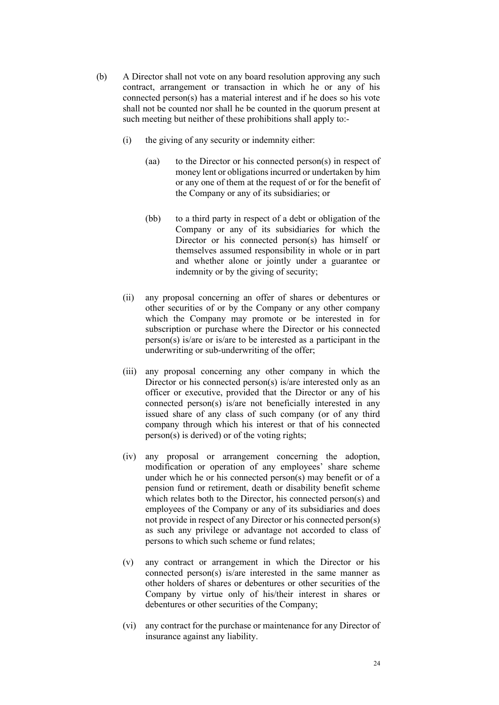- (b) A Director shall not vote on any board resolution approving any such contract, arrangement or transaction in which he or any of his connected person(s) has a material interest and if he does so his vote shall not be counted nor shall he be counted in the quorum present at such meeting but neither of these prohibitions shall apply to:-
	- (i) the giving of any security or indemnity either:
		- (aa) to the Director or his connected person(s) in respect of money lent or obligations incurred or undertaken by him or any one of them at the request of or for the benefit of the Company or any of its subsidiaries; or
		- (bb) to a third party in respect of a debt or obligation of the Company or any of its subsidiaries for which the Director or his connected person(s) has himself or themselves assumed responsibility in whole or in part and whether alone or jointly under a guarantee or indemnity or by the giving of security;
	- (ii) any proposal concerning an offer of shares or debentures or other securities of or by the Company or any other company which the Company may promote or be interested in for subscription or purchase where the Director or his connected person(s) is/are or is/are to be interested as a participant in the underwriting or sub-underwriting of the offer;
	- (iii) any proposal concerning any other company in which the Director or his connected person(s) is/are interested only as an officer or executive, provided that the Director or any of his connected person(s) is/are not beneficially interested in any issued share of any class of such company (or of any third company through which his interest or that of his connected person(s) is derived) or of the voting rights;
	- (iv) any proposal or arrangement concerning the adoption, modification or operation of any employees' share scheme under which he or his connected person(s) may benefit or of a pension fund or retirement, death or disability benefit scheme which relates both to the Director, his connected person(s) and employees of the Company or any of its subsidiaries and does not provide in respect of any Director or his connected person(s) as such any privilege or advantage not accorded to class of persons to which such scheme or fund relates;
	- (v) any contract or arrangement in which the Director or his connected person(s) is/are interested in the same manner as other holders of shares or debentures or other securities of the Company by virtue only of his/their interest in shares or debentures or other securities of the Company;
	- (vi) any contract for the purchase or maintenance for any Director of insurance against any liability.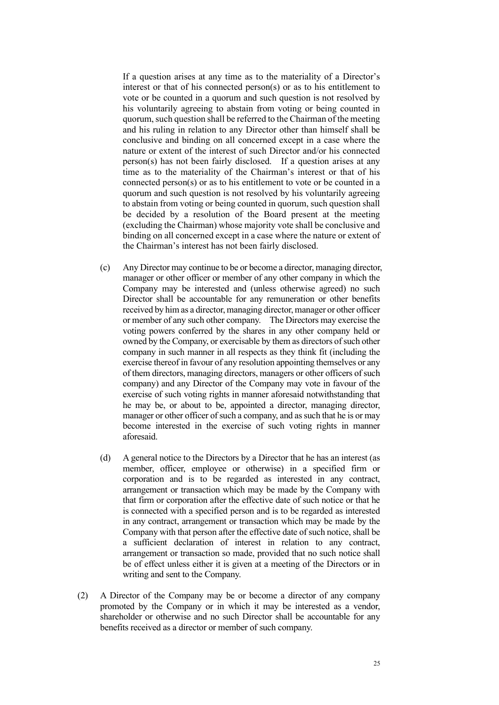If a question arises at any time as to the materiality of a Director's interest or that of his connected person(s) or as to his entitlement to vote or be counted in a quorum and such question is not resolved by his voluntarily agreeing to abstain from voting or being counted in quorum, such question shall be referred to the Chairman of the meeting and his ruling in relation to any Director other than himself shall be conclusive and binding on all concerned except in a case where the nature or extent of the interest of such Director and/or his connected person(s) has not been fairly disclosed. If a question arises at any time as to the materiality of the Chairman's interest or that of his connected person(s) or as to his entitlement to vote or be counted in a quorum and such question is not resolved by his voluntarily agreeing to abstain from voting or being counted in quorum, such question shall be decided by a resolution of the Board present at the meeting (excluding the Chairman) whose majority vote shall be conclusive and binding on all concerned except in a case where the nature or extent of the Chairman's interest has not been fairly disclosed.

- (c) Any Director may continue to be or become a director, managing director, manager or other officer or member of any other company in which the Company may be interested and (unless otherwise agreed) no such Director shall be accountable for any remuneration or other benefits received by him as a director, managing director, manager or other officer or member of any such other company. The Directors may exercise the voting powers conferred by the shares in any other company held or owned by the Company, or exercisable by them as directors of such other company in such manner in all respects as they think fit (including the exercise thereof in favour of any resolution appointing themselves or any of them directors, managing directors, managers or other officers of such company) and any Director of the Company may vote in favour of the exercise of such voting rights in manner aforesaid notwithstanding that he may be, or about to be, appointed a director, managing director, manager or other officer of such a company, and as such that he is or may become interested in the exercise of such voting rights in manner aforesaid.
- (d) A general notice to the Directors by a Director that he has an interest (as member, officer, employee or otherwise) in a specified firm or corporation and is to be regarded as interested in any contract, arrangement or transaction which may be made by the Company with that firm or corporation after the effective date of such notice or that he is connected with a specified person and is to be regarded as interested in any contract, arrangement or transaction which may be made by the Company with that person after the effective date of such notice, shall be a sufficient declaration of interest in relation to any contract, arrangement or transaction so made, provided that no such notice shall be of effect unless either it is given at a meeting of the Directors or in writing and sent to the Company.
- (2) A Director of the Company may be or become a director of any company promoted by the Company or in which it may be interested as a vendor, shareholder or otherwise and no such Director shall be accountable for any benefits received as a director or member of such company.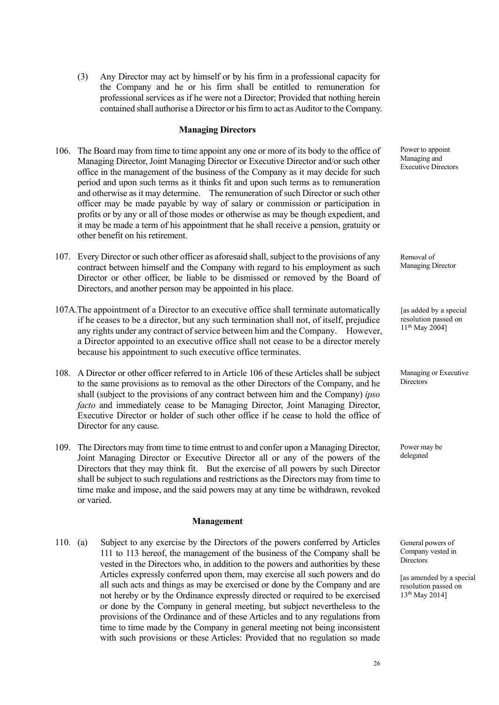(3) Any Director may act by himself or by his firm in a professional capacity for the Company and he or his firm shall be entitled to remuneration for professional services as if he were not a Director; Provided that nothing herein contained shall authorise a Director or his firm to act as Auditor to the Company.

#### **Managing Directors**

- 106. The Board may from time to time appoint any one or more of its body to the office of Managing Director, Joint Managing Director or Executive Director and/or such other office in the management of the business of the Company as it may decide for such period and upon such terms as it thinks fit and upon such terms as to remuneration and otherwise as it may determine. The remuneration of such Director or such other officer may be made payable by way of salary or commission or participation in profits or by any or all of those modes or otherwise as may be though expedient, and it may be made a term of his appointment that he shall receive a pension, gratuity or other benefit on his retirement.
- 107. Every Director or such other officer as aforesaid shall, subject to the provisions of any contract between himself and the Company with regard to his employment as such Director or other officer, be liable to be dismissed or removed by the Board of Directors, and another person may be appointed in his place.
- 107A.The appointment of a Director to an executive office shall terminate automatically if he ceases to be a director, but any such termination shall not, of itself, prejudice any rights under any contract of service between him and the Company. However, a Director appointed to an executive office shall not cease to be a director merely because his appointment to such executive office terminates.
- 108. A Director or other officer referred to in Article 106 of these Articles shall be subject to the same provisions as to removal as the other Directors of the Company, and he shall (subject to the provisions of any contract between him and the Company) *ipso facto* and immediately cease to be Managing Director, Joint Managing Director, Executive Director or holder of such other office if he cease to hold the office of Director for any cause.
- 109. The Directors may from time to time entrust to and confer upon a Managing Director, Joint Managing Director or Executive Director all or any of the powers of the Directors that they may think fit. But the exercise of all powers by such Director shall be subject to such regulations and restrictions as the Directors may from time to time make and impose, and the said powers may at any time be withdrawn, revoked or varied.

#### **Management**

110. (a) Subject to any exercise by the Directors of the powers conferred by Articles 111 to 113 hereof, the management of the business of the Company shall be vested in the Directors who, in addition to the powers and authorities by these Articles expressly conferred upon them, may exercise all such powers and do all such acts and things as may be exercised or done by the Company and are not hereby or by the Ordinance expressly directed or required to be exercised or done by the Company in general meeting, but subject nevertheless to the provisions of the Ordinance and of these Articles and to any regulations from time to time made by the Company in general meeting not being inconsistent with such provisions or these Articles: Provided that no regulation so made Power to appoint Managing and Executive Directors

Removal of Managing Director

[as added by a special] resolution passed on 11th May 2004]

Managing or Executive **Directors** 

Power may be delegated

General powers of Company vested in **Directors** 

[as amended by a special resolution passed on 13th May 2014]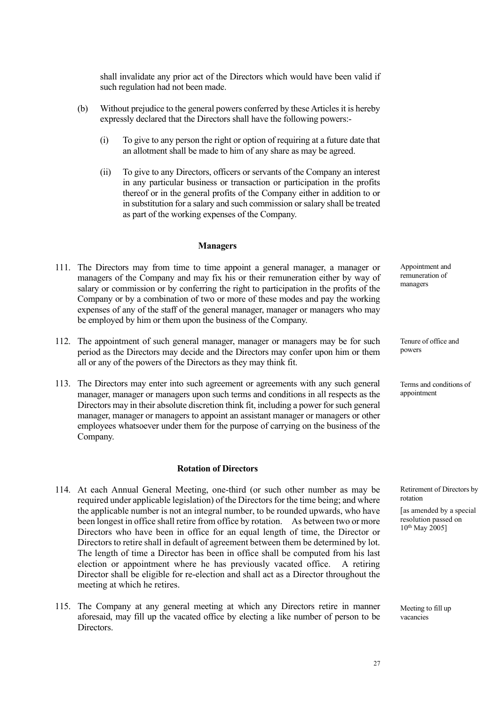shall invalidate any prior act of the Directors which would have been valid if such regulation had not been made.

- (b) Without prejudice to the general powers conferred by these Articles it is hereby expressly declared that the Directors shall have the following powers:-
	- (i) To give to any person the right or option of requiring at a future date that an allotment shall be made to him of any share as may be agreed.
	- (ii) To give to any Directors, officers or servants of the Company an interest in any particular business or transaction or participation in the profits thereof or in the general profits of the Company either in addition to or in substitution for a salary and such commission or salary shall be treated as part of the working expenses of the Company.

### **Managers**

- 111. The Directors may from time to time appoint a general manager, a manager or managers of the Company and may fix his or their remuneration either by way of salary or commission or by conferring the right to participation in the profits of the Company or by a combination of two or more of these modes and pay the working expenses of any of the staff of the general manager, manager or managers who may be employed by him or them upon the business of the Company.
- 112. The appointment of such general manager, manager or managers may be for such period as the Directors may decide and the Directors may confer upon him or them all or any of the powers of the Directors as they may think fit.
- 113. The Directors may enter into such agreement or agreements with any such general manager, manager or managers upon such terms and conditions in all respects as the Directors may in their absolute discretion think fit, including a power for such general manager, manager or managers to appoint an assistant manager or managers or other employees whatsoever under them for the purpose of carrying on the business of the Company.

#### **Rotation of Directors**

- 114. At each Annual General Meeting, one-third (or such other number as may be required under applicable legislation) of the Directors for the time being; and where the applicable number is not an integral number, to be rounded upwards, who have been longest in office shall retire from office by rotation. As between two or more Directors who have been in office for an equal length of time, the Director or Directors to retire shall in default of agreement between them be determined by lot. The length of time a Director has been in office shall be computed from his last election or appointment where he has previously vacated office. A retiring Director shall be eligible for re-election and shall act as a Director throughout the meeting at which he retires.
- 115. The Company at any general meeting at which any Directors retire in manner aforesaid, may fill up the vacated office by electing a like number of person to be Directors.

Appointment and remuneration of managers

Tenure of office and powers

Terms and conditions of appointment

Retirement of Directors by rotation

[as amended by a special resolution passed on  $10^{th}$  May 2005]

Meeting to fill up vacancies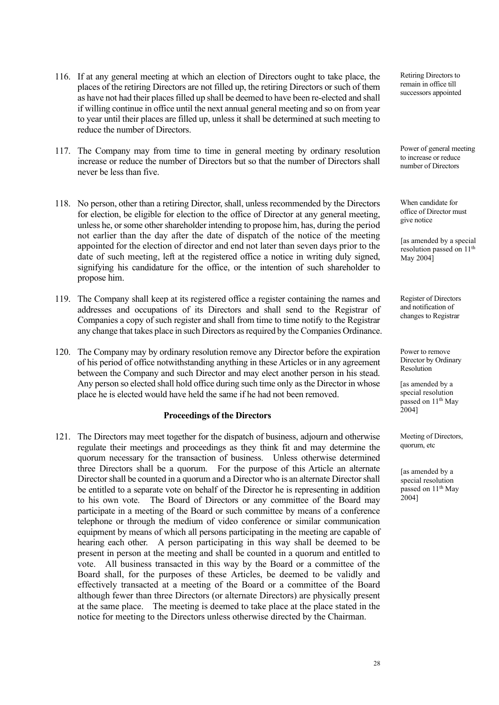- 116. If at any general meeting at which an election of Directors ought to take place, the places of the retiring Directors are not filled up, the retiring Directors or such of them as have not had their places filled up shall be deemed to have been re-elected and shall if willing continue in office until the next annual general meeting and so on from year to year until their places are filled up, unless it shall be determined at such meeting to reduce the number of Directors.
- 117. The Company may from time to time in general meeting by ordinary resolution increase or reduce the number of Directors but so that the number of Directors shall never be less than five.
- 118. No person, other than a retiring Director, shall, unless recommended by the Directors for election, be eligible for election to the office of Director at any general meeting, unless he, or some other shareholder intending to propose him, has, during the period not earlier than the day after the date of dispatch of the notice of the meeting appointed for the election of director and end not later than seven days prior to the date of such meeting, left at the registered office a notice in writing duly signed, signifying his candidature for the office, or the intention of such shareholder to propose him.
- 119. The Company shall keep at its registered office a register containing the names and addresses and occupations of its Directors and shall send to the Registrar of Companies a copy of such register and shall from time to time notify to the Registrar any change that takes place in such Directors as required by the Companies Ordinance.
- 120. The Company may by ordinary resolution remove any Director before the expiration of his period of office notwithstanding anything in these Articles or in any agreement between the Company and such Director and may elect another person in his stead. Any person so elected shall hold office during such time only asthe Director in whose place he is elected would have held the same if he had not been removed.

#### **Proceedings of the Directors**

121. The Directors may meet together for the dispatch of business, adjourn and otherwise regulate their meetings and proceedings as they think fit and may determine the quorum necessary for the transaction of business. Unless otherwise determined three Directors shall be a quorum. For the purpose of this Article an alternate Director shall be counted in a quorum and a Director who is an alternate Director shall be entitled to a separate vote on behalf of the Director he is representing in addition to his own vote. The Board of Directors or any committee of the Board may participate in a meeting of the Board or such committee by means of a conference telephone or through the medium of video conference or similar communication equipment by means of which all persons participating in the meeting are capable of hearing each other. A person participating in this way shall be deemed to be present in person at the meeting and shall be counted in a quorum and entitled to vote. All business transacted in this way by the Board or a committee of the Board shall, for the purposes of these Articles, be deemed to be validly and effectively transacted at a meeting of the Board or a committee of the Board although fewer than three Directors (or alternate Directors) are physically present at the same place. The meeting is deemed to take place at the place stated in the notice for meeting to the Directors unless otherwise directed by the Chairman.

Retiring Directors to remain in office till successors appointed

Power of general meeting to increase or reduce number of Directors

When candidate for office of Director must give notice

[as amended by a special resolution passed on 11<sup>th</sup> May 2004]

Register of Directors and notification of changes to Registrar

Power to remove Director by Ordinary Resolution

[as amended by a special resolution passed on 11<sup>th</sup> May 2004]

Meeting of Directors, quorum, etc

[as amended by a special resolution passed on 11<sup>th</sup> May 2004]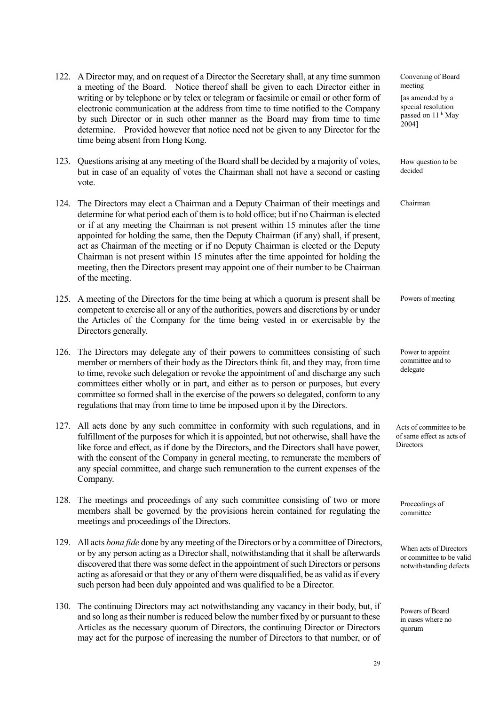- 122. A Director may, and on request of a Director the Secretary shall, at any time summon a meeting of the Board. Notice thereof shall be given to each Director either in writing or by telephone or by telex or telegram or facsimile or email or other form of electronic communication at the address from time to time notified to the Company by such Director or in such other manner as the Board may from time to time determine. Provided however that notice need not be given to any Director for the time being absent from Hong Kong.
- 123. Questions arising at any meeting of the Board shall be decided by a majority of votes, but in case of an equality of votes the Chairman shall not have a second or casting vote.
- 124. The Directors may elect a Chairman and a Deputy Chairman of their meetings and determine for what period each of them is to hold office; but if no Chairman is elected or if at any meeting the Chairman is not present within 15 minutes after the time appointed for holding the same, then the Deputy Chairman (if any) shall, if present, act as Chairman of the meeting or if no Deputy Chairman is elected or the Deputy Chairman is not present within 15 minutes after the time appointed for holding the meeting, then the Directors present may appoint one of their number to be Chairman of the meeting.
- 125. A meeting of the Directors for the time being at which a quorum is present shall be competent to exercise all or any of the authorities, powers and discretions by or under the Articles of the Company for the time being vested in or exercisable by the Directors generally.
- 126. The Directors may delegate any of their powers to committees consisting of such member or members of their body as the Directors think fit, and they may, from time to time, revoke such delegation or revoke the appointment of and discharge any such committees either wholly or in part, and either as to person or purposes, but every committee so formed shall in the exercise of the powers so delegated, conform to any regulations that may from time to time be imposed upon it by the Directors.
- 127. All acts done by any such committee in conformity with such regulations, and in fulfillment of the purposes for which it is appointed, but not otherwise, shall have the like force and effect, as if done by the Directors, and the Directors shall have power, with the consent of the Company in general meeting, to remunerate the members of any special committee, and charge such remuneration to the current expenses of the Company.
- 128. The meetings and proceedings of any such committee consisting of two or more members shall be governed by the provisions herein contained for regulating the meetings and proceedings of the Directors.
- 129. All acts *bona fide* done by any meeting of the Directors or by a committee of Directors, or by any person acting as a Director shall, notwithstanding that it shall be afterwards discovered that there was some defect in the appointment of such Directors or persons acting as aforesaid or that they or any of them were disqualified, be as valid as if every such person had been duly appointed and was qualified to be a Director.
- 130. The continuing Directors may act notwithstanding any vacancy in their body, but, if and so long as their number is reduced below the number fixed by or pursuant to these Articles as the necessary quorum of Directors, the continuing Director or Directors may act for the purpose of increasing the number of Directors to that number, or of

Convening of Board meeting [as amended by a special resolution passed on 11<sup>th</sup> May 2004]

How question to be decided

Chairman

Powers of meeting

Power to appoint committee and to delegate

Acts of committee to be of same effect as acts of **Directors** 

Proceedings of committee

When acts of Directors or committee to be valid notwithstanding defects

Powers of Board in cases where no quorum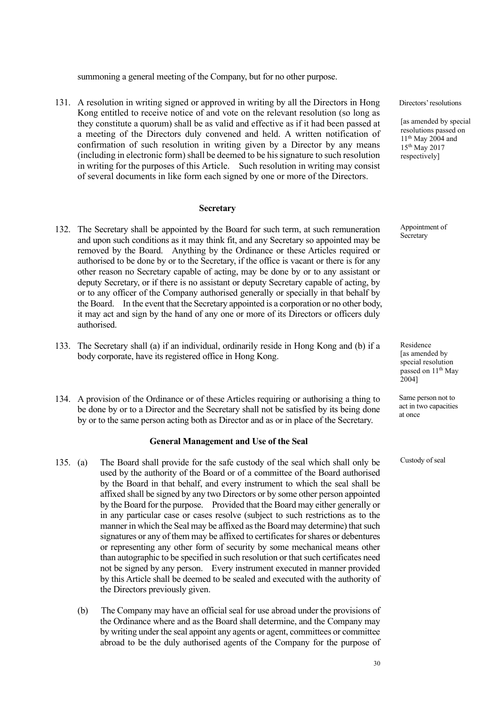summoning a general meeting of the Company, but for no other purpose.

131. A resolution in writing signed or approved in writing by all the Directors in Hong Kong entitled to receive notice of and vote on the relevant resolution (so long as they constitute a quorum) shall be as valid and effective as if it had been passed at a meeting of the Directors duly convened and held. A written notification of confirmation of such resolution in writing given by a Director by any means (including in electronic form) shall be deemed to be his signature to such resolution in writing for the purposes of this Article. Such resolution in writing may consist of several documents in like form each signed by one or more of the Directors.

#### **Secretary**

- 132. The Secretary shall be appointed by the Board for such term, at such remuneration and upon such conditions as it may think fit, and any Secretary so appointed may be removed by the Board. Anything by the Ordinance or these Articles required or authorised to be done by or to the Secretary, if the office is vacant or there is for any other reason no Secretary capable of acting, may be done by or to any assistant or deputy Secretary, or if there is no assistant or deputy Secretary capable of acting, by or to any officer of the Company authorised generally or specially in that behalf by the Board. In the event that the Secretary appointed is a corporation or no other body, it may act and sign by the hand of any one or more of its Directors or officers duly authorised.
- 133. The Secretary shall (a) if an individual, ordinarily reside in Hong Kong and (b) if a body corporate, have its registered office in Hong Kong.
- 134. A provision of the Ordinance or of these Articles requiring or authorising a thing to be done by or to a Director and the Secretary shall not be satisfied by its being done by or to the same person acting both as Director and as or in place of the Secretary.

#### **General Management and Use of the Seal**

- 135. (a) The Board shall provide for the safe custody of the seal which shall only be used by the authority of the Board or of a committee of the Board authorised by the Board in that behalf, and every instrument to which the seal shall be affixed shall be signed by any two Directors or by some other person appointed by the Board for the purpose. Provided that the Board may either generally or in any particular case or cases resolve (subject to such restrictions as to the manner in which the Seal may be affixed as the Board may determine) that such signatures or any of them may be affixed to certificates for shares or debentures or representing any other form of security by some mechanical means other than autographic to be specified in such resolution or that such certificates need not be signed by any person. Every instrument executed in manner provided by this Article shall be deemed to be sealed and executed with the authority of the Directors previously given.
	- (b) The Company may have an official seal for use abroad under the provisions of the Ordinance where and as the Board shall determine, and the Company may by writing under the seal appoint any agents or agent, committees or committee abroad to be the duly authorised agents of the Company for the purpose of

Directors' resolutions

[as amended by special resolutions passed on  $11<sup>th</sup>$  May 2004 and 15th May 2017 respectively]

Appointment of Secretary

Residence [as amended by special resolution passed on 11<sup>th</sup> May 2004]

Same person not to act in two capacities at once

Custody of seal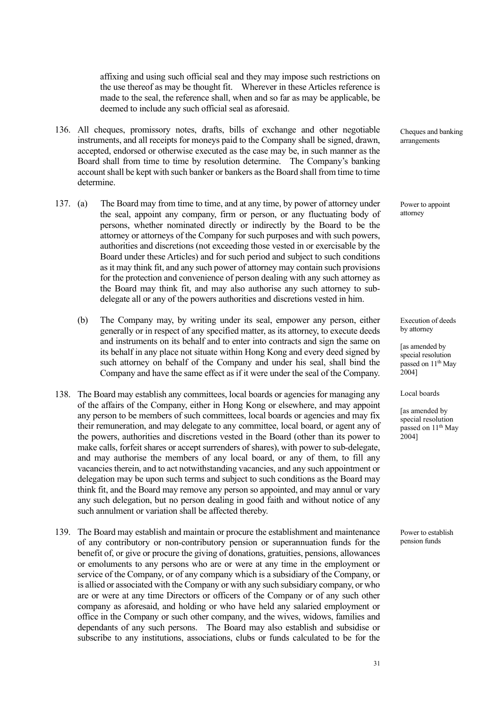affixing and using such official seal and they may impose such restrictions on the use thereof as may be thought fit. Wherever in these Articles reference is made to the seal, the reference shall, when and so far as may be applicable, be deemed to include any such official seal as aforesaid.

- 136. All cheques, promissory notes, drafts, bills of exchange and other negotiable instruments, and all receipts for moneys paid to the Company shall be signed, drawn, accepted, endorsed or otherwise executed as the case may be, in such manner as the Board shall from time to time by resolution determine. The Company's banking account shall be kept with such banker or bankers as the Board shall from time to time determine.
- 137. (a) The Board may from time to time, and at any time, by power of attorney under the seal, appoint any company, firm or person, or any fluctuating body of persons, whether nominated directly or indirectly by the Board to be the attorney or attorneys of the Company for such purposes and with such powers, authorities and discretions (not exceeding those vested in or exercisable by the Board under these Articles) and for such period and subject to such conditions as it may think fit, and any such power of attorney may contain such provisions for the protection and convenience of person dealing with any such attorney as the Board may think fit, and may also authorise any such attorney to subdelegate all or any of the powers authorities and discretions vested in him.
	- (b) The Company may, by writing under its seal, empower any person, either generally or in respect of any specified matter, as its attorney, to execute deeds and instruments on its behalf and to enter into contracts and sign the same on its behalf in any place not situate within Hong Kong and every deed signed by such attorney on behalf of the Company and under his seal, shall bind the Company and have the same effect as if it were under the seal of the Company.
- 138. The Board may establish any committees, local boards or agencies for managing any of the affairs of the Company, either in Hong Kong or elsewhere, and may appoint any person to be members of such committees, local boards or agencies and may fix their remuneration, and may delegate to any committee, local board, or agent any of the powers, authorities and discretions vested in the Board (other than its power to make calls, forfeit shares or accept surrenders of shares), with power to sub-delegate, and may authorise the members of any local board, or any of them, to fill any vacancies therein, and to act notwithstanding vacancies, and any such appointment or delegation may be upon such terms and subject to such conditions as the Board may think fit, and the Board may remove any person so appointed, and may annul or vary any such delegation, but no person dealing in good faith and without notice of any such annulment or variation shall be affected thereby.
- 139. The Board may establish and maintain or procure the establishment and maintenance of any contributory or non-contributory pension or superannuation funds for the benefit of, or give or procure the giving of donations, gratuities, pensions, allowances or emoluments to any persons who are or were at any time in the employment or service of the Company, or of any company which is a subsidiary of the Company, or is allied or associated with the Company or with any such subsidiary company, or who are or were at any time Directors or officers of the Company or of any such other company as aforesaid, and holding or who have held any salaried employment or office in the Company or such other company, and the wives, widows, families and dependants of any such persons. The Board may also establish and subsidise or subscribe to any institutions, associations, clubs or funds calculated to be for the

Cheques and banking arrangements

Power to appoint attorney

Execution of deeds by attorney

[as amended by special resolution passed on 11<sup>th</sup> May 2004]

Local boards

[as amended by special resolution passed on 11<sup>th</sup> May 2004]

Power to establish pension funds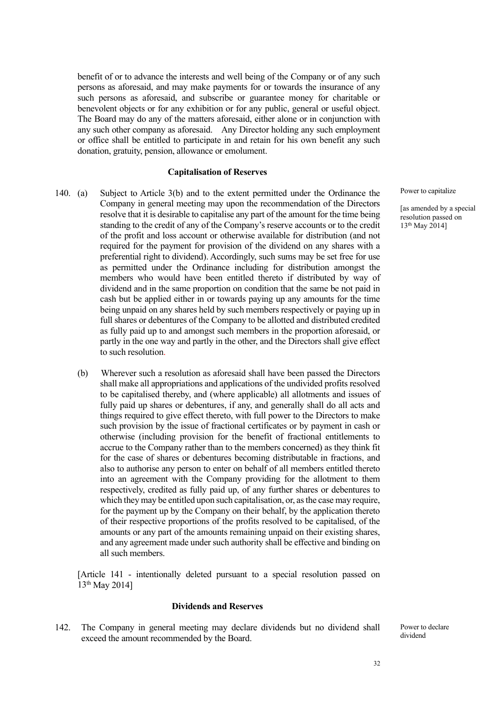benefit of or to advance the interests and well being of the Company or of any such persons as aforesaid, and may make payments for or towards the insurance of any such persons as aforesaid, and subscribe or guarantee money for charitable or benevolent objects or for any exhibition or for any public, general or useful object. The Board may do any of the matters aforesaid, either alone or in conjunction with any such other company as aforesaid. Any Director holding any such employment or office shall be entitled to participate in and retain for his own benefit any such donation, gratuity, pension, allowance or emolument.

#### **Capitalisation of Reserves**

- 140. (a) Subject to Article 3(b) and to the extent permitted under the Ordinance the Company in general meeting may upon the recommendation of the Directors resolve that it is desirable to capitalise any part of the amount for the time being standing to the credit of any of the Company's reserve accounts or to the credit of the profit and loss account or otherwise available for distribution (and not required for the payment for provision of the dividend on any shares with a preferential right to dividend). Accordingly, such sums may be set free for use as permitted under the Ordinance including for distribution amongst the members who would have been entitled thereto if distributed by way of dividend and in the same proportion on condition that the same be not paid in cash but be applied either in or towards paying up any amounts for the time being unpaid on any shares held by such members respectively or paying up in full shares or debentures of the Company to be allotted and distributed credited as fully paid up to and amongst such members in the proportion aforesaid, or partly in the one way and partly in the other, and the Directors shall give effect to such resolution.
	- (b) Wherever such a resolution as aforesaid shall have been passed the Directors shall make all appropriations and applications of the undivided profits resolved to be capitalised thereby, and (where applicable) all allotments and issues of fully paid up shares or debentures, if any, and generally shall do all acts and things required to give effect thereto, with full power to the Directors to make such provision by the issue of fractional certificates or by payment in cash or otherwise (including provision for the benefit of fractional entitlements to accrue to the Company rather than to the members concerned) as they think fit for the case of shares or debentures becoming distributable in fractions, and also to authorise any person to enter on behalf of all members entitled thereto into an agreement with the Company providing for the allotment to them respectively, credited as fully paid up, of any further shares or debentures to which they may be entitled upon such capitalisation, or, as the case may require, for the payment up by the Company on their behalf, by the application thereto of their respective proportions of the profits resolved to be capitalised, of the amounts or any part of the amounts remaining unpaid on their existing shares, and any agreement made under such authority shall be effective and binding on all such members.

[Article 141 - intentionally deleted pursuant to a special resolution passed on 13th May 2014]

#### **Dividends and Reserves**

142. The Company in general meeting may declare dividends but no dividend shall exceed the amount recommended by the Board.

Power to capitalize

[as amended by a special resolution passed on 13th May 2014]

Power to declare dividend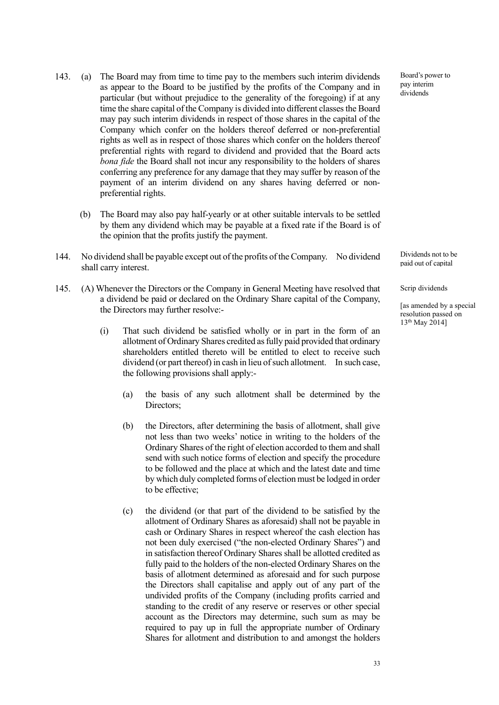- 143. (a) The Board may from time to time pay to the members such interim dividends as appear to the Board to be justified by the profits of the Company and in particular (but without prejudice to the generality of the foregoing) if at any time the share capital of the Company is divided into different classes the Board may pay such interim dividends in respect of those shares in the capital of the Company which confer on the holders thereof deferred or non-preferential rights as well as in respect of those shares which confer on the holders thereof preferential rights with regard to dividend and provided that the Board acts *bona fide* the Board shall not incur any responsibility to the holders of shares conferring any preference for any damage that they may suffer by reason of the payment of an interim dividend on any shares having deferred or nonpreferential rights.
	- (b) The Board may also pay half-yearly or at other suitable intervals to be settled by them any dividend which may be payable at a fixed rate if the Board is of the opinion that the profits justify the payment.
- 144. No dividend shall be payable except out of the profits of the Company. No dividend shall carry interest.
- 145. (A) Whenever the Directors or the Company in General Meeting have resolved that a dividend be paid or declared on the Ordinary Share capital of the Company, the Directors may further resolve:-
	- (i) That such dividend be satisfied wholly or in part in the form of an allotment of Ordinary Shares credited as fully paid provided that ordinary shareholders entitled thereto will be entitled to elect to receive such dividend (or part thereof) in cash in lieu of such allotment. In such case, the following provisions shall apply:-
		- (a) the basis of any such allotment shall be determined by the Directors;
		- (b) the Directors, after determining the basis of allotment, shall give not less than two weeks' notice in writing to the holders of the Ordinary Shares of the right of election accorded to them and shall send with such notice forms of election and specify the procedure to be followed and the place at which and the latest date and time by which duly completed forms of election must be lodged in order to be effective;
		- (c) the dividend (or that part of the dividend to be satisfied by the allotment of Ordinary Shares as aforesaid) shall not be payable in cash or Ordinary Shares in respect whereof the cash election has not been duly exercised ("the non-elected Ordinary Shares") and in satisfaction thereof Ordinary Shares shall be allotted credited as fully paid to the holders of the non-elected Ordinary Shares on the basis of allotment determined as aforesaid and for such purpose the Directors shall capitalise and apply out of any part of the undivided profits of the Company (including profits carried and standing to the credit of any reserve or reserves or other special account as the Directors may determine, such sum as may be required to pay up in full the appropriate number of Ordinary Shares for allotment and distribution to and amongst the holders

Board's power to pay interim dividends

Dividends not to be paid out of capital

Scrip dividends

[as amended by a special resolution passed on 13th May 2014]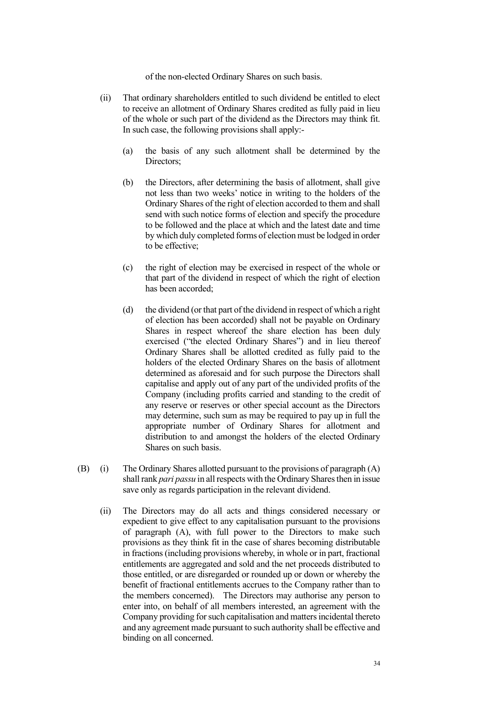of the non-elected Ordinary Shares on such basis.

- (ii) That ordinary shareholders entitled to such dividend be entitled to elect to receive an allotment of Ordinary Shares credited as fully paid in lieu of the whole or such part of the dividend as the Directors may think fit. In such case, the following provisions shall apply:-
	- (a) the basis of any such allotment shall be determined by the Directors;
	- (b) the Directors, after determining the basis of allotment, shall give not less than two weeks' notice in writing to the holders of the Ordinary Shares of the right of election accorded to them and shall send with such notice forms of election and specify the procedure to be followed and the place at which and the latest date and time by which duly completed forms of election must be lodged in order to be effective;
	- (c) the right of election may be exercised in respect of the whole or that part of the dividend in respect of which the right of election has been accorded;
	- (d) the dividend (or that part of the dividend in respect of which a right of election has been accorded) shall not be payable on Ordinary Shares in respect whereof the share election has been duly exercised ("the elected Ordinary Shares") and in lieu thereof Ordinary Shares shall be allotted credited as fully paid to the holders of the elected Ordinary Shares on the basis of allotment determined as aforesaid and for such purpose the Directors shall capitalise and apply out of any part of the undivided profits of the Company (including profits carried and standing to the credit of any reserve or reserves or other special account as the Directors may determine, such sum as may be required to pay up in full the appropriate number of Ordinary Shares for allotment and distribution to and amongst the holders of the elected Ordinary Shares on such basis.
- (B) (i) The Ordinary Shares allotted pursuant to the provisions of paragraph (A) shall rank *pari passu* in all respects with the Ordinary Shares then in issue save only as regards participation in the relevant dividend.
	- (ii) The Directors may do all acts and things considered necessary or expedient to give effect to any capitalisation pursuant to the provisions of paragraph (A), with full power to the Directors to make such provisions as they think fit in the case of shares becoming distributable in fractions (including provisions whereby, in whole or in part, fractional entitlements are aggregated and sold and the net proceeds distributed to those entitled, or are disregarded or rounded up or down or whereby the benefit of fractional entitlements accrues to the Company rather than to the members concerned). The Directors may authorise any person to enter into, on behalf of all members interested, an agreement with the Company providing for such capitalisation and matters incidental thereto and any agreement made pursuant to such authority shall be effective and binding on all concerned.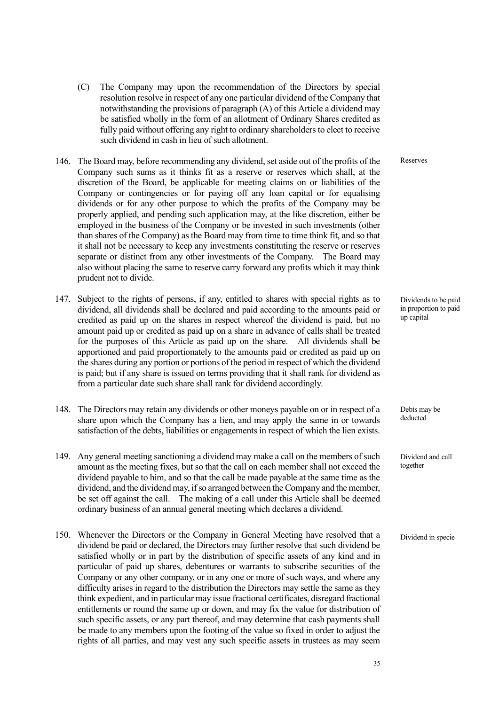- (C) The Company may upon the recommendation of the Directors by special resolution resolve in respect of any one particular dividend of the Company that notwithstanding the provisions of paragraph (A) of this Article a dividend may be satisfied wholly in the form of an allotment of Ordinary Shares credited as fully paid without offering any right to ordinary shareholders to elect to receive such dividend in cash in lieu of such allotment.
- 146. The Board may, before recommending any dividend, set aside out of the profits of the Company such sums as it thinks fit as a reserve or reserves which shall, at the discretion of the Board, be applicable for meeting claims on or liabilities of the Company or contingencies or for paying off any loan capital or for equalising dividends or for any other purpose to which the profits of the Company may be properly applied, and pending such application may, at the like discretion, either be employed in the business of the Company or be invested in such investments (other than shares of the Company) as the Board may from time to time think fit, and so that it shall not be necessary to keep any investments constituting the reserve or reserves separate or distinct from any other investments of the Company. The Board may also without placing the same to reserve carry forward any profits which it may think prudent not to divide.
- 147. Subject to the rights of persons, if any, entitled to shares with special rights as to dividend, all dividends shall be declared and paid according to the amounts paid or credited as paid up on the shares in respect whereof the dividend is paid, but no amount paid up or credited as paid up on a share in advance of calls shall be treated for the purposes of this Article as paid up on the share. All dividends shall be apportioned and paid proportionately to the amounts paid or credited as paid up on the shares during any portion or portions of the period in respect of which the dividend is paid; but if any share is issued on terms providing that it shall rank for dividend as from a particular date such share shall rank for dividend accordingly.
- 148. The Directors may retain any dividends or other moneys payable on or in respect of a share upon which the Company has a lien, and may apply the same in or towards satisfaction of the debts, liabilities or engagements in respect of which the lien exists.
- 149. Any general meeting sanctioning a dividend may make a call on the members of such amount as the meeting fixes, but so that the call on each member shall not exceed the dividend payable to him, and so that the call be made payable at the same time as the dividend, and the dividend may, if so arranged between the Company and the member, be set off against the call. The making of a call under this Article shall be deemed ordinary business of an annual general meeting which declares a dividend.
- 150. Whenever the Directors or the Company in General Meeting have resolved that a dividend be paid or declared, the Directors may further resolve that such dividend be satisfied wholly or in part by the distribution of specific assets of any kind and in particular of paid up shares, debentures or warrants to subscribe securities of the Company or any other company, or in any one or more of such ways, and where any difficulty arises in regard to the distribution the Directors may settle the same as they think expedient, and in particular may issue fractional certificates, disregard fractional entitlements or round the same up or down, and may fix the value for distribution of such specific assets, or any part thereof, and may determine that cash payments shall be made to any members upon the footing of the value so fixed in order to adjust the rights of all parties, and may vest any such specific assets in trustees as may seem

Reserves

Dividends to be paid in proportion to paid up capital

Debts may be deducted

Dividend and call together

Dividend in specie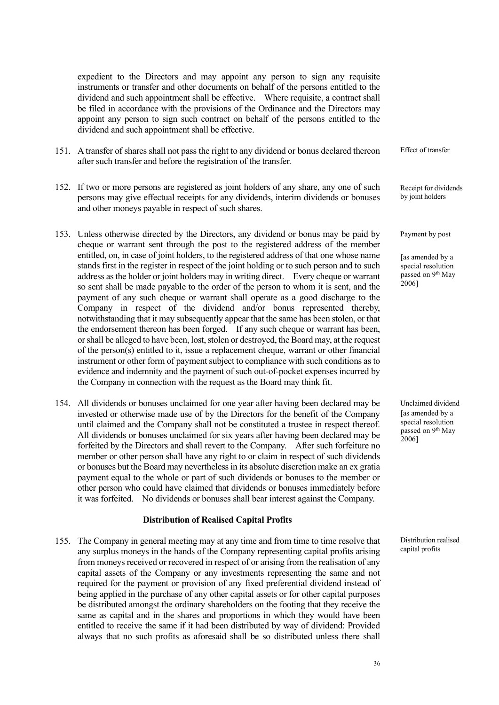expedient to the Directors and may appoint any person to sign any requisite instruments or transfer and other documents on behalf of the persons entitled to the dividend and such appointment shall be effective. Where requisite, a contract shall be filed in accordance with the provisions of the Ordinance and the Directors may appoint any person to sign such contract on behalf of the persons entitled to the dividend and such appointment shall be effective.

- 151. A transfer of shares shall not pass the right to any dividend or bonus declared thereon after such transfer and before the registration of the transfer.
- 152. If two or more persons are registered as joint holders of any share, any one of such persons may give effectual receipts for any dividends, interim dividends or bonuses and other moneys payable in respect of such shares.
- 153. Unless otherwise directed by the Directors, any dividend or bonus may be paid by cheque or warrant sent through the post to the registered address of the member entitled, on, in case of joint holders, to the registered address of that one whose name stands first in the register in respect of the joint holding or to such person and to such address as the holder or joint holders may in writing direct. Every cheque or warrant so sent shall be made payable to the order of the person to whom it is sent, and the payment of any such cheque or warrant shall operate as a good discharge to the Company in respect of the dividend and/or bonus represented thereby, notwithstanding that it may subsequently appear that the same has been stolen, or that the endorsement thereon has been forged. If any such cheque or warrant has been, or shall be alleged to have been, lost, stolen or destroyed, the Board may, at the request of the person(s) entitled to it, issue a replacement cheque, warrant or other financial instrument or other form of payment subject to compliance with such conditions as to evidence and indemnity and the payment of such out-of-pocket expenses incurred by the Company in connection with the request as the Board may think fit.
- 154. All dividends or bonuses unclaimed for one year after having been declared may be invested or otherwise made use of by the Directors for the benefit of the Company until claimed and the Company shall not be constituted a trustee in respect thereof. All dividends or bonuses unclaimed for six years after having been declared may be forfeited by the Directors and shall revert to the Company. After such forfeiture no member or other person shall have any right to or claim in respect of such dividends or bonuses but the Board may nevertheless in its absolute discretion make an ex gratia payment equal to the whole or part of such dividends or bonuses to the member or other person who could have claimed that dividends or bonuses immediately before it was forfeited. No dividends or bonuses shall bear interest against the Company.

## **Distribution of Realised Capital Profits**

155. The Company in general meeting may at any time and from time to time resolve that any surplus moneys in the hands of the Company representing capital profits arising from moneys received or recovered in respect of or arising from the realisation of any capital assets of the Company or any investments representing the same and not required for the payment or provision of any fixed preferential dividend instead of being applied in the purchase of any other capital assets or for other capital purposes be distributed amongst the ordinary shareholders on the footing that they receive the same as capital and in the shares and proportions in which they would have been entitled to receive the same if it had been distributed by way of dividend: Provided always that no such profits as aforesaid shall be so distributed unless there shall

Effect of transfer

Receipt for dividends by joint holders

Payment by post

[as amended by a special resolution passed on 9<sup>th</sup> May 2006]

Unclaimed dividend [as amended by a special resolution passed on 9th May 2006]

Distribution realised capital profits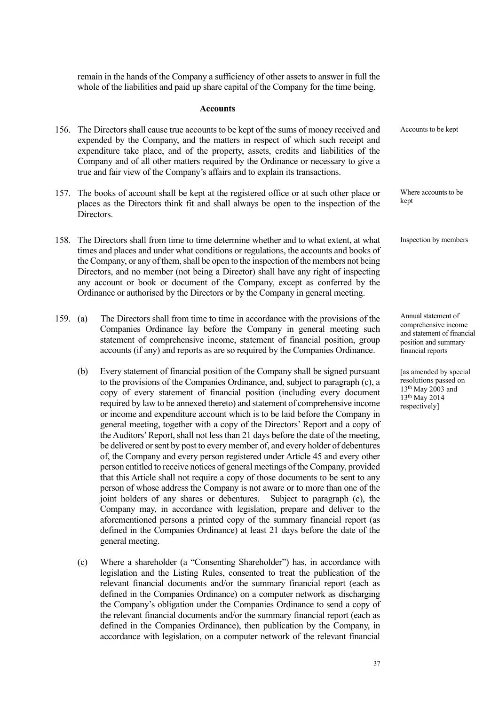remain in the hands of the Company a sufficiency of other assets to answer in full the whole of the liabilities and paid up share capital of the Company for the time being.

### **Accounts**

|      |            | 156. The Directors shall cause true accounts to be kept of the sums of money received and<br>expended by the Company, and the matters in respect of which such receipt and<br>expenditure take place, and of the property, assets, credits and liabilities of the<br>Company and of all other matters required by the Ordinance or necessary to give a<br>true and fair view of the Company's affairs and to explain its transactions.                                                                                                                                                                                                                                                                                                                                                                                                                                                                                                                                                                                                                                                                                                                                                                                                        | Accounts to be kept                                                                                                         |
|------|------------|-----------------------------------------------------------------------------------------------------------------------------------------------------------------------------------------------------------------------------------------------------------------------------------------------------------------------------------------------------------------------------------------------------------------------------------------------------------------------------------------------------------------------------------------------------------------------------------------------------------------------------------------------------------------------------------------------------------------------------------------------------------------------------------------------------------------------------------------------------------------------------------------------------------------------------------------------------------------------------------------------------------------------------------------------------------------------------------------------------------------------------------------------------------------------------------------------------------------------------------------------|-----------------------------------------------------------------------------------------------------------------------------|
| 157. | Directors. | The books of account shall be kept at the registered office or at such other place or<br>places as the Directors think fit and shall always be open to the inspection of the                                                                                                                                                                                                                                                                                                                                                                                                                                                                                                                                                                                                                                                                                                                                                                                                                                                                                                                                                                                                                                                                  | Where accounts to be<br>kept                                                                                                |
| 158. |            | The Directors shall from time to time determine whether and to what extent, at what<br>times and places and under what conditions or regulations, the accounts and books of<br>the Company, or any of them, shall be open to the inspection of the members not being<br>Directors, and no member (not being a Director) shall have any right of inspecting<br>any account or book or document of the Company, except as conferred by the<br>Ordinance or authorised by the Directors or by the Company in general meeting.                                                                                                                                                                                                                                                                                                                                                                                                                                                                                                                                                                                                                                                                                                                    | Inspection by members                                                                                                       |
| 159. | (a)        | The Directors shall from time to time in accordance with the provisions of the<br>Companies Ordinance lay before the Company in general meeting such<br>statement of comprehensive income, statement of financial position, group<br>accounts (if any) and reports as are so required by the Companies Ordinance.                                                                                                                                                                                                                                                                                                                                                                                                                                                                                                                                                                                                                                                                                                                                                                                                                                                                                                                             | Annual statement of<br>comprehensive income<br>and statement of financial<br>position and summary<br>financial reports      |
|      | (b)        | Every statement of financial position of the Company shall be signed pursuant<br>to the provisions of the Companies Ordinance, and, subject to paragraph (c), a<br>copy of every statement of financial position (including every document<br>required by law to be annexed thereto) and statement of comprehensive income<br>or income and expenditure account which is to be laid before the Company in<br>general meeting, together with a copy of the Directors' Report and a copy of<br>the Auditors' Report, shall not less than 21 days before the date of the meeting,<br>be delivered or sent by post to every member of, and every holder of debentures<br>of, the Company and every person registered under Article 45 and every other<br>person entitled to receive notices of general meetings of the Company, provided<br>that this Article shall not require a copy of those documents to be sent to any<br>person of whose address the Company is not aware or to more than one of the<br>joint holders of any shares or debentures.<br>Subject to paragraph (c), the<br>Company may, in accordance with legislation, prepare and deliver to the<br>aforementioned persons a printed copy of the summary financial report (as | [as amended by special<br>resolutions passed on<br>$13^{\rm th}$ May 2003 and<br>13 <sup>th</sup> May 2014<br>respectively] |

(c) Where a shareholder (a "Consenting Shareholder") has, in accordance with legislation and the Listing Rules, consented to treat the publication of the relevant financial documents and/or the summary financial report (each as defined in the Companies Ordinance) on a computer network as discharging the Company's obligation under the Companies Ordinance to send a copy of the relevant financial documents and/or the summary financial report (each as defined in the Companies Ordinance), then publication by the Company, in accordance with legislation, on a computer network of the relevant financial

general meeting.

defined in the Companies Ordinance) at least 21 days before the date of the

37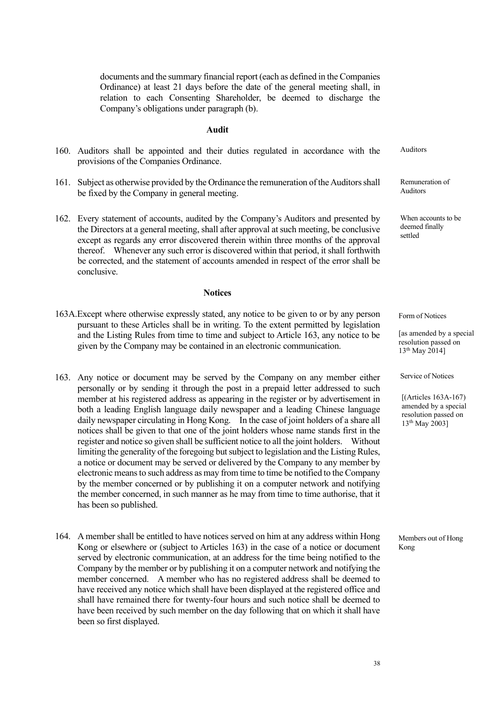documents and the summary financial report (each as defined in the Companies Ordinance) at least 21 days before the date of the general meeting shall, in relation to each Consenting Shareholder, be deemed to discharge the Company's obligations under paragraph (b).

#### **Audit**

- 160. Auditors shall be appointed and their duties regulated in accordance with the provisions of the Companies Ordinance.
- 161. Subject as otherwise provided by the Ordinance the remuneration of the Auditors shall be fixed by the Company in general meeting.
- 162. Every statement of accounts, audited by the Company's Auditors and presented by the Directors at a general meeting, shall after approval at such meeting, be conclusive except as regards any error discovered therein within three months of the approval thereof. Whenever any such error is discovered within that period, it shall forthwith be corrected, and the statement of accounts amended in respect of the error shall be conclusive.

## **Notices**

- 163A.Except where otherwise expressly stated, any notice to be given to or by any person pursuant to these Articles shall be in writing. To the extent permitted by legislation and the Listing Rules from time to time and subject to Article 163, any notice to be given by the Company may be contained in an electronic communication.
- 163. Any notice or document may be served by the Company on any member either personally or by sending it through the post in a prepaid letter addressed to such member at his registered address as appearing in the register or by advertisement in both a leading English language daily newspaper and a leading Chinese language daily newspaper circulating in Hong Kong. In the case of joint holders of a share all notices shall be given to that one of the joint holders whose name stands first in the register and notice so given shall be sufficient notice to all the joint holders. Without limiting the generality of the foregoing but subject to legislation and the Listing Rules, a notice or document may be served or delivered by the Company to any member by electronic means to such address as may from time to time be notified to the Company by the member concerned or by publishing it on a computer network and notifying the member concerned, in such manner as he may from time to time authorise, that it has been so published.
- 164. A member shall be entitled to have notices served on him at any address within Hong Kong or elsewhere or (subject to Articles 163) in the case of a notice or document served by electronic communication, at an address for the time being notified to the Company by the member or by publishing it on a computer network and notifying the member concerned. A member who has no registered address shall be deemed to have received any notice which shall have been displayed at the registered office and shall have remained there for twenty-four hours and such notice shall be deemed to have been received by such member on the day following that on which it shall have been so first displayed.

Auditors

Remuneration of Auditors

When accounts to be deemed finally settled

Form of Notices

[as amended by a special resolution passed on 13th May 2014]

Service of Notices

[(Articles 163A-167) amended by a special resolution passed on 13th May 2003]

Members out of Hong Kong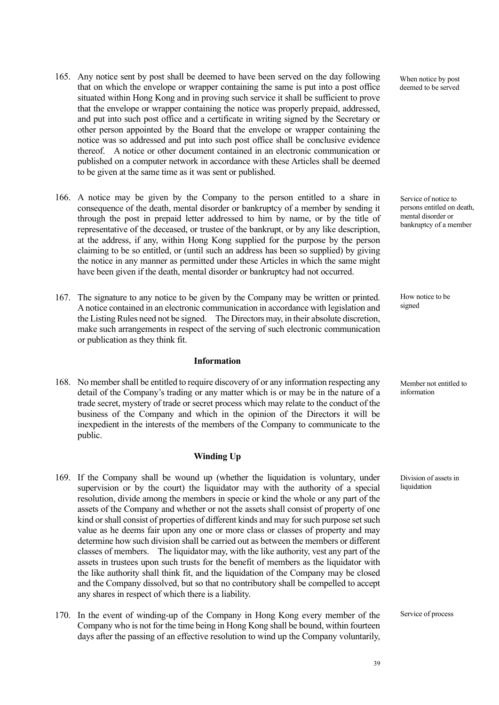- 165. Any notice sent by post shall be deemed to have been served on the day following that on which the envelope or wrapper containing the same is put into a post office situated within Hong Kong and in proving such service it shall be sufficient to prove that the envelope or wrapper containing the notice was properly prepaid, addressed, and put into such post office and a certificate in writing signed by the Secretary or other person appointed by the Board that the envelope or wrapper containing the notice was so addressed and put into such post office shall be conclusive evidence thereof. A notice or other document contained in an electronic communication or published on a computer network in accordance with these Articles shall be deemed to be given at the same time as it was sent or published.
- 166. A notice may be given by the Company to the person entitled to a share in consequence of the death, mental disorder or bankruptcy of a member by sending it through the post in prepaid letter addressed to him by name, or by the title of representative of the deceased, or trustee of the bankrupt, or by any like description, at the address, if any, within Hong Kong supplied for the purpose by the person claiming to be so entitled, or (until such an address has been so supplied) by giving the notice in any manner as permitted under these Articles in which the same might have been given if the death, mental disorder or bankruptcy had not occurred.
- 167. The signature to any notice to be given by the Company may be written or printed. A notice contained in an electronic communication in accordance with legislation and the Listing Rules need not be signed. The Directors may, in their absolute discretion, make such arrangements in respect of the serving of such electronic communication or publication as they think fit.

## **Information**

168. No member shall be entitled to require discovery of or any information respecting any detail of the Company's trading or any matter which is or may be in the nature of a trade secret, mystery of trade or secret process which may relate to the conduct of the business of the Company and which in the opinion of the Directors it will be inexpedient in the interests of the members of the Company to communicate to the public.

## **Winding Up**

- 169. If the Company shall be wound up (whether the liquidation is voluntary, under supervision or by the court) the liquidator may with the authority of a special resolution, divide among the members in specie or kind the whole or any part of the assets of the Company and whether or not the assets shall consist of property of one kind or shall consist of properties of different kinds and may for such purpose set such value as he deems fair upon any one or more class or classes of property and may determine how such division shall be carried out as between the members or different classes of members. The liquidator may, with the like authority, vest any part of the assets in trustees upon such trusts for the benefit of members as the liquidator with the like authority shall think fit, and the liquidation of the Company may be closed and the Company dissolved, but so that no contributory shall be compelled to accept any shares in respect of which there is a liability.
- 170. In the event of winding-up of the Company in Hong Kong every member of the Company who is not for the time being in Hong Kong shall be bound, within fourteen days after the passing of an effective resolution to wind up the Company voluntarily,

When notice by post deemed to be served

Service of notice to persons entitled on death, mental disorder or bankruptcy of a member

How notice to be signed

Member not entitled to information

Division of assets in liquidation

Service of process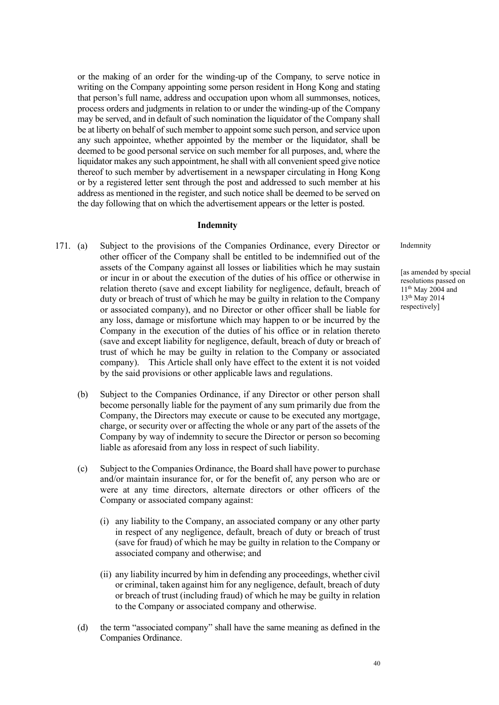or the making of an order for the winding-up of the Company, to serve notice in writing on the Company appointing some person resident in Hong Kong and stating that person's full name, address and occupation upon whom all summonses, notices, process orders and judgments in relation to or under the winding-up of the Company may be served, and in default of such nomination the liquidator of the Company shall be at liberty on behalf of such member to appoint some such person, and service upon any such appointee, whether appointed by the member or the liquidator, shall be deemed to be good personal service on such member for all purposes, and, where the liquidator makes any such appointment, he shall with all convenient speed give notice thereof to such member by advertisement in a newspaper circulating in Hong Kong or by a registered letter sent through the post and addressed to such member at his address as mentioned in the register, and such notice shall be deemed to be served on the day following that on which the advertisement appears or the letter is posted.

#### **Indemnity**

- 171. (a) Subject to the provisions of the Companies Ordinance, every Director or other officer of the Company shall be entitled to be indemnified out of the assets of the Company against all losses or liabilities which he may sustain or incur in or about the execution of the duties of his office or otherwise in relation thereto (save and except liability for negligence, default, breach of duty or breach of trust of which he may be guilty in relation to the Company or associated company), and no Director or other officer shall be liable for any loss, damage or misfortune which may happen to or be incurred by the Company in the execution of the duties of his office or in relation thereto (save and except liability for negligence, default, breach of duty or breach of trust of which he may be guilty in relation to the Company or associated company). This Article shall only have effect to the extent it is not voided by the said provisions or other applicable laws and regulations.
	- (b) Subject to the Companies Ordinance, if any Director or other person shall become personally liable for the payment of any sum primarily due from the Company, the Directors may execute or cause to be executed any mortgage, charge, or security over or affecting the whole or any part of the assets of the Company by way of indemnity to secure the Director or person so becoming liable as aforesaid from any loss in respect of such liability.
	- (c) Subject to the Companies Ordinance, the Board shall have power to purchase and/or maintain insurance for, or for the benefit of, any person who are or were at any time directors, alternate directors or other officers of the Company or associated company against:
		- (i) any liability to the Company, an associated company or any other party in respect of any negligence, default, breach of duty or breach of trust (save for fraud) of which he may be guilty in relation to the Company or associated company and otherwise; and
		- (ii) any liability incurred by him in defending any proceedings, whether civil or criminal, taken against him for any negligence, default, breach of duty or breach of trust (including fraud) of which he may be guilty in relation to the Company or associated company and otherwise.
	- (d) the term "associated company" shall have the same meaning as defined in the Companies Ordinance.

Indemnity

[as amended by special resolutions passed on  $11<sup>th</sup>$  May 2004 and 13th May 2014 respectively]